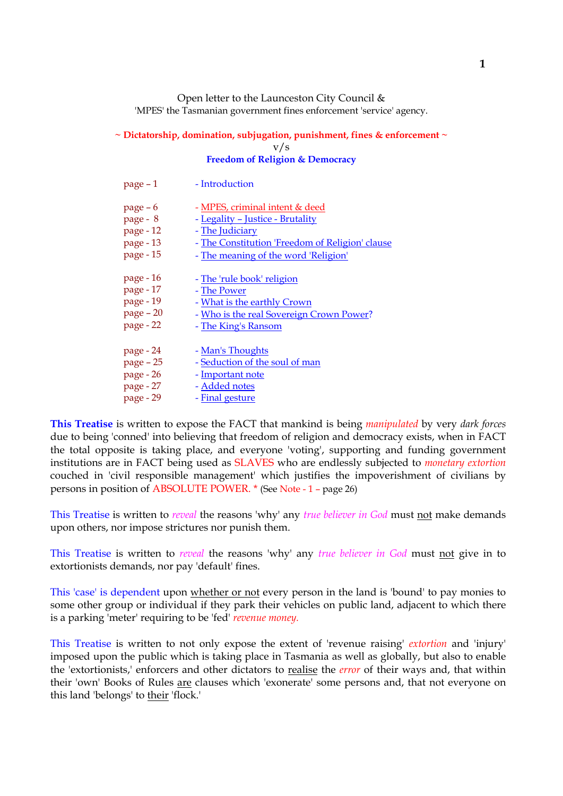Open letter to the Launceston City Council & 'MPES' the Tasmanian government fines enforcement 'service' agency.

### **~ Dictatorship, domination, subjugation, punishment, fines & enforcement ~** v/s **Freedom of Religion & Democracy**

| $page - 1$  | - Introduction                                  |
|-------------|-------------------------------------------------|
| page $-6$   | - MPES, criminal intent & deed                  |
| page - 8    | - Legality - Justice - Brutality                |
| page - 12   | - The Judiciary                                 |
| page - 13   | - The Constitution 'Freedom of Religion' clause |
| page - 15   | - The meaning of the word 'Religion'            |
| page - 16   | - The 'rule book' religion                      |
| page - 17   | - The Power                                     |
| page - 19   | - What is the earthly Crown                     |
| $page - 20$ | - Who is the real Sovereign Crown Power?        |
| page - 22   | - The King's Ransom                             |
| page - 24   | - Man's Thoughts                                |
| page - 25   | - Seduction of the soul of man                  |
| page - 26   | - Important note                                |
| page - 27   | - Added notes                                   |
| page - 29   | - Final gesture                                 |

**This Treatise** is written to expose the FACT that mankind is being *manipulated* by very *dark forces* due to being 'conned' into believing that freedom of religion and democracy exists, when in FACT the total opposite is taking place, and everyone 'voting', supporting and funding government institutions are in FACT being used as SLAVES who are endlessly subjected to *monetary extortion* couched in 'civil responsible management' which justifies the impoverishment of civilians by persons in position of ABSOLUTE POWER. \* (See Note - 1 – page 26)

This Treatise is written to *reveal* the reasons 'why' any *true believer in God* must not make demands upon others, nor impose strictures nor punish them.

This Treatise is written to *reveal* the reasons 'why' any *true believer in God* must not give in to extortionists demands, nor pay 'default' fines.

This 'case' is dependent upon whether or not every person in the land is 'bound' to pay monies to some other group or individual if they park their vehicles on public land, adjacent to which there is a parking 'meter' requiring to be 'fed' *revenue money.*

This Treatise is written to not only expose the extent of 'revenue raising' *extortion* and 'injury' imposed upon the public which is taking place in Tasmania as well as globally, but also to enable the 'extortionists,' enforcers and other dictators to realise the *error* of their ways and, that within their 'own' Books of Rules are clauses which 'exonerate' some persons and, that not everyone on this land 'belongs' to their 'flock.'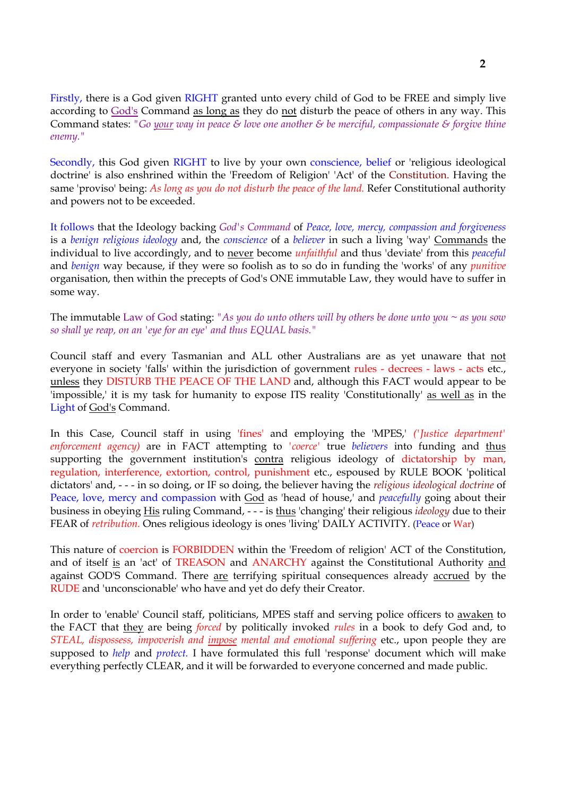Firstly, there is a God given RIGHT granted unto every child of God to be FREE and simply live according to God's Command as long as they do not disturb the peace of others in any way. This Command states: *"Go your way in peace & love one another & be merciful, compassionate & forgive thine enemy."*

Secondly, this God given RIGHT to live by your own conscience, belief or 'religious ideological doctrine' is also enshrined within the 'Freedom of Religion' 'Act' of the Constitution. Having the same 'proviso' being: *As long as you do not disturb the peace of the land.* Refer Constitutional authority and powers not to be exceeded.

It follows that the Ideology backing *God's Command* of *Peace, love, mercy, compassion and forgiveness* is a *benign religious ideology* and, the *conscience* of a *believer* in such a living 'way' Commands the individual to live accordingly, and to never become *unfaithful* and thus 'deviate' from this *peaceful* and *benign* way because, if they were so foolish as to so do in funding the 'works' of any *punitive* organisation, then within the precepts of God's ONE immutable Law, they would have to suffer in some way.

The immutable Law of God stating: *"As you do unto others will by others be done unto you ~ as you sow so shall ye reap, on an 'eye for an eye' and thus EQUAL basis."*

Council staff and every Tasmanian and ALL other Australians are as yet unaware that not everyone in society 'falls' within the jurisdiction of government rules - decrees - laws - acts etc., unless they DISTURB THE PEACE OF THE LAND and, although this FACT would appear to be 'impossible,' it is my task for humanity to expose ITS reality 'Constitutionally' as well as in the Light of God's Command.

In this Case, Council staff in using 'fines' and employing the 'MPES,' *('Justice department' enforcement agency)* are in FACT attempting to *'coerce'* true *believers* into funding and thus supporting the government institution's contra religious ideology of dictatorship by man, regulation, interference, extortion, control, punishment etc., espoused by RULE BOOK 'political dictators' and, - - - in so doing, or IF so doing, the believer having the *religious ideological doctrine* of Peace, love, mercy and compassion with God as 'head of house,' and *peacefully* going about their business in obeying His ruling Command, - - - is thus 'changing' their religious *ideology* due to their FEAR of *retribution.* Ones religious ideology is ones 'living' DAILY ACTIVITY. (Peace or War)

This nature of coercion is FORBIDDEN within the 'Freedom of religion' ACT of the Constitution, and of itself is an 'act' of TREASON and ANARCHY against the Constitutional Authority and against GOD'S Command. There are terrifying spiritual consequences already accrued by the RUDE and 'unconscionable' who have and yet do defy their Creator.

In order to 'enable' Council staff, politicians, MPES staff and serving police officers to awaken to the FACT that they are being *forced* by politically invoked *rules* in a book to defy God and, to *STEAL, dispossess, impoverish and impose mental and emotional suffering* etc., upon people they are supposed to *help* and *protect.* I have formulated this full 'response' document which will make everything perfectly CLEAR, and it will be forwarded to everyone concerned and made public.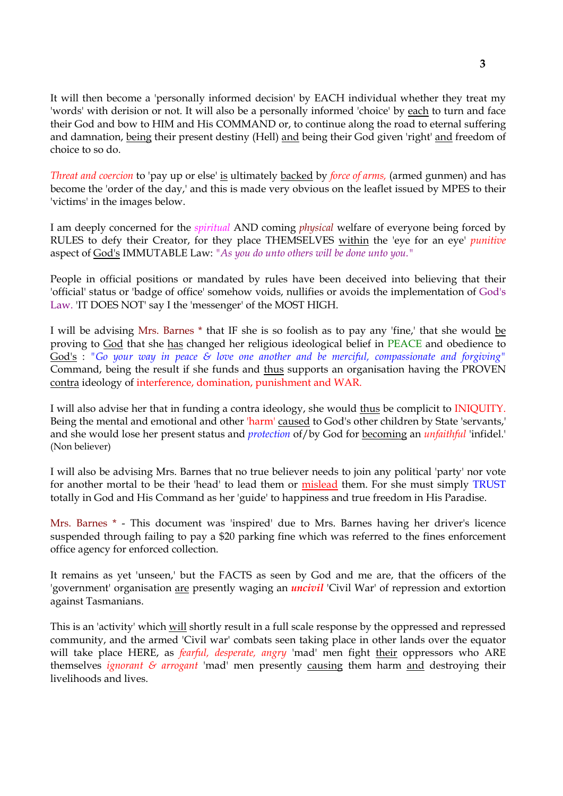It will then become a 'personally informed decision' by EACH individual whether they treat my 'words' with derision or not. It will also be a personally informed 'choice' by each to turn and face their God and bow to HIM and His COMMAND or, to continue along the road to eternal suffering and damnation, being their present destiny (Hell) and being their God given 'right' and freedom of choice to so do.

*Threat and coercion* to 'pay up or else' is ultimately backed by *force of arms,* (armed gunmen) and has become the 'order of the day,' and this is made very obvious on the leaflet issued by MPES to their 'victims' in the images below.

I am deeply concerned for the *spiritual* AND coming *physical* welfare of everyone being forced by RULES to defy their Creator, for they place THEMSELVES within the 'eye for an eye' *punitive* aspect of God's IMMUTABLE Law: *"As you do unto others will be done unto you."*

People in official positions or mandated by rules have been deceived into believing that their 'official' status or 'badge of office' somehow voids, nullifies or avoids the implementation of God's Law. 'IT DOES NOT' say I the 'messenger' of the MOST HIGH.

I will be advising Mrs. Barnes \* that IF she is so foolish as to pay any 'fine,' that she would be proving to God that she has changed her religious ideological belief in PEACE and obedience to God's : *"Go your way in peace & love one another and be merciful, compassionate and forgiving"* Command, being the result if she funds and thus supports an organisation having the PROVEN contra ideology of interference, domination, punishment and WAR.

I will also advise her that in funding a contra ideology, she would thus be complicit to INIQUITY. Being the mental and emotional and other 'harm' caused to God's other children by State 'servants,' and she would lose her present status and *protection* of/by God for becoming an *unfaithful* 'infidel.' (Non believer)

I will also be advising Mrs. Barnes that no true believer needs to join any political 'party' nor vote for another mortal to be their 'head' to lead them or mislead them. For she must simply TRUST totally in God and His Command as her 'guide' to happiness and true freedom in His Paradise.

Mrs. Barnes \* - This document was 'inspired' due to Mrs. Barnes having her driver's licence suspended through failing to pay a \$20 parking fine which was referred to the fines enforcement office agency for enforced collection.

It remains as yet 'unseen,' but the FACTS as seen by God and me are, that the officers of the 'government' organisation are presently waging an *uncivil* 'Civil War' of repression and extortion against Tasmanians.

This is an 'activity' which will shortly result in a full scale response by the oppressed and repressed community, and the armed 'Civil war' combats seen taking place in other lands over the equator will take place HERE, as *fearful, desperate, angry* 'mad' men fight their oppressors who ARE themselves *ignorant & arrogant* 'mad' men presently causing them harm and destroying their livelihoods and lives.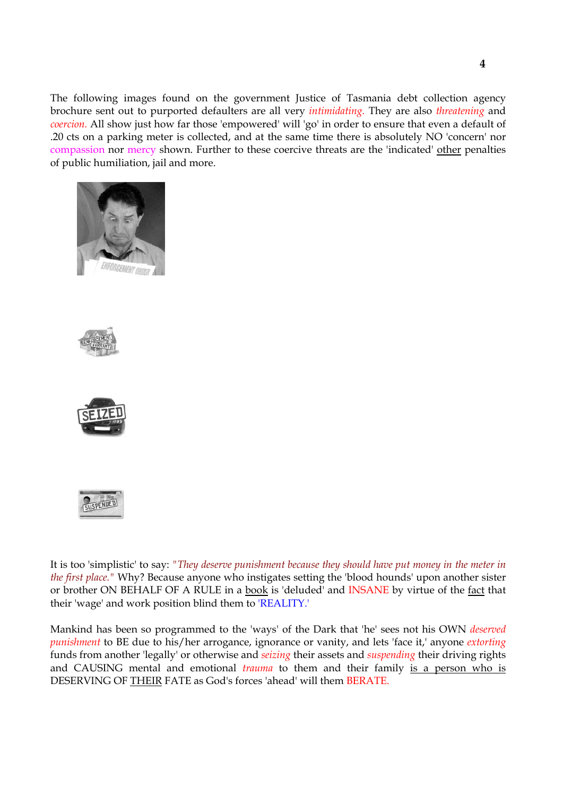The following images found on the government Justice of Tasmania debt collection agency brochure sent out to purported defaulters are all very *intimidating.* They are also *threatening* and *coercion.* All show just how far those 'empowered' will 'go' in order to ensure that even a default of .20 cts on a parking meter is collected, and at the same time there is absolutely NO 'concern' nor compassion nor mercy shown. Further to these coercive threats are the 'indicated' other penalties of public humiliation, jail and more.









It is too 'simplistic' to say: *"They deserve punishment because they should have put money in the meter in the first place."* Why? Because anyone who instigates setting the 'blood hounds' upon another sister or brother ON BEHALF OF A RULE in a book is 'deluded' and INSANE by virtue of the fact that their 'wage' and work position blind them to 'REALITY.'

Mankind has been so programmed to the 'ways' of the Dark that 'he' sees not his OWN *deserved punishment* to BE due to his/her arrogance, ignorance or vanity, and lets 'face it,' anyone *extorting* funds from another 'legally' or otherwise and *seizing* their assets and *suspending* their driving rights and CAUSING mental and emotional *trauma* to them and their family is a person who is DESERVING OF THEIR FATE as God's forces 'ahead' will them BERATE.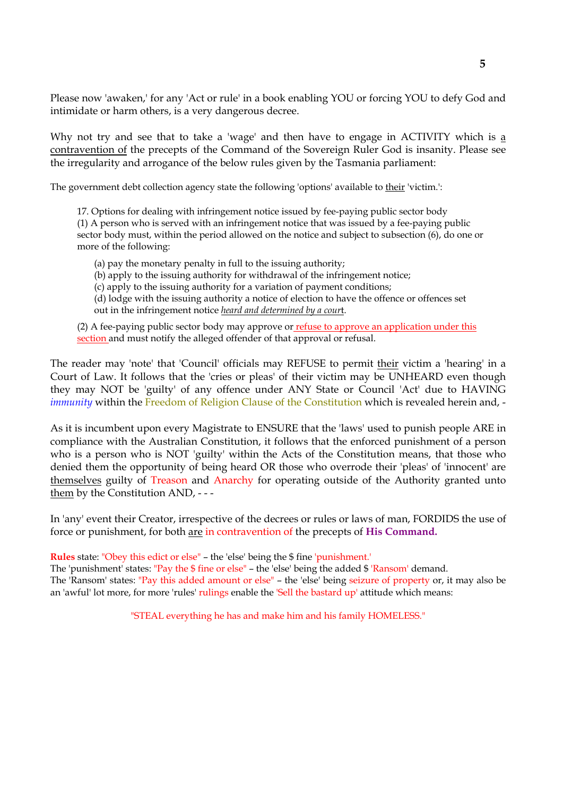Please now 'awaken,' for any 'Act or rule' in a book enabling YOU or forcing YOU to defy God and intimidate or harm others, is a very dangerous decree.

Why not try and see that to take a 'wage' and then have to engage in ACTIVITY which is a contravention of the precepts of the Command of the Sovereign Ruler God is insanity. Please see the irregularity and arrogance of the below rules given by the Tasmania parliament:

The government debt collection agency state the following 'options' available to their 'victim.':

17. Options for dealing with infringement notice issued by fee-paying public sector body (1) A person who is served with an infringement notice that was issued by a fee-paying public sector body must, within the period allowed on the notice and subject to subsection (6), do one or more of the following:

(a) pay the monetary penalty in full to the issuing authority;

(b) apply to the issuing authority for withdrawal of the infringement notice;

(c) apply to the issuing authority for a variation of payment conditions;

(d) lodge with the issuing authority a notice of election to have the offence or offences set out in the infringement notice *heard and determined by a cour*t.

(2) A fee-paying public sector body may approve or  $refuse to approximate approximation under this$ </u> section and must notify the alleged offender of that approval or refusal.

The reader may 'note' that 'Council' officials may REFUSE to permit their victim a 'hearing' in a Court of Law. It follows that the 'cries or pleas' of their victim may be UNHEARD even though they may NOT be 'guilty' of any offence under ANY State or Council 'Act' due to HAVING *immunity* within the Freedom of Religion Clause of the Constitution which is revealed herein and, -

As it is incumbent upon every Magistrate to ENSURE that the 'laws' used to punish people ARE in compliance with the Australian Constitution, it follows that the enforced punishment of a person who is a person who is NOT 'guilty' within the Acts of the Constitution means, that those who denied them the opportunity of being heard OR those who overrode their 'pleas' of 'innocent' are themselves guilty of Treason and Anarchy for operating outside of the Authority granted unto them by the Constitution AND, - - -

In 'any' event their Creator, irrespective of the decrees or rules or laws of man, FORDIDS the use of force or punishment, for both are in contravention of the precepts of **His Command.**

**Rules** state: "Obey this edict or else" – the 'else' being the \$ fine 'punishment.'

The 'punishment' states: "Pay the \$ fine or else" – the 'else' being the added \$ 'Ransom' demand. The 'Ransom' states: "Pay this added amount or else" – the 'else' being seizure of property or, it may also be an 'awful' lot more, for more 'rules' rulings enable the 'Sell the bastard up' attitude which means:

"STEAL everything he has and make him and his family HOMELESS."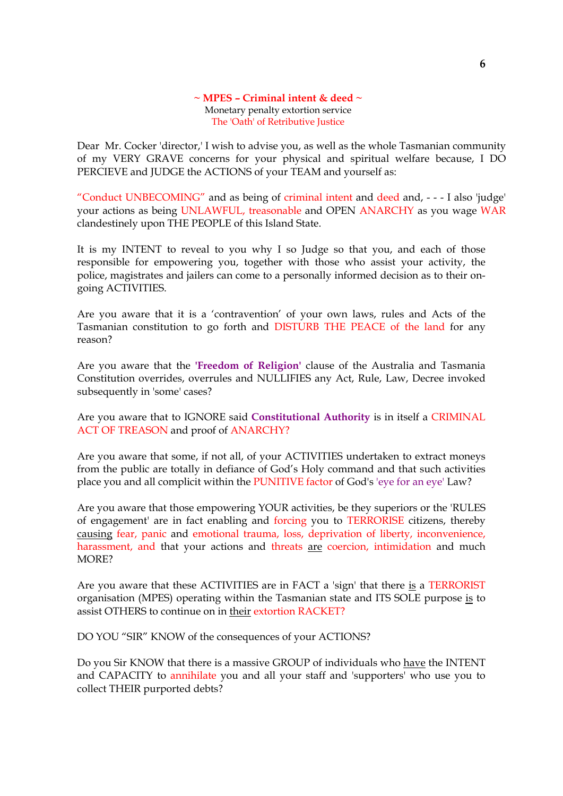#### **~ MPES – Criminal intent & deed ~** Monetary penalty extortion service The 'Oath' of Retributive Justice

Dear Mr. Cocker 'director,' I wish to advise you, as well as the whole Tasmanian community of my VERY GRAVE concerns for your physical and spiritual welfare because, I DO PERCIEVE and JUDGE the ACTIONS of your TEAM and yourself as:

"Conduct UNBECOMING" and as being of criminal intent and deed and, - - - I also 'judge' your actions as being UNLAWFUL, treasonable and OPEN ANARCHY as you wage WAR clandestinely upon THE PEOPLE of this Island State.

It is my INTENT to reveal to you why I so Judge so that you, and each of those responsible for empowering you, together with those who assist your activity, the police, magistrates and jailers can come to a personally informed decision as to their ongoing ACTIVITIES.

Are you aware that it is a 'contravention' of your own laws, rules and Acts of the Tasmanian constitution to go forth and DISTURB THE PEACE of the land for any reason?

Are you aware that the **'Freedom of Religion'** clause of the Australia and Tasmania Constitution overrides, overrules and NULLIFIES any Act, Rule, Law, Decree invoked subsequently in 'some' cases?

Are you aware that to IGNORE said **Constitutional Authority** is in itself a CRIMINAL ACT OF TREASON and proof of ANARCHY?

Are you aware that some, if not all, of your ACTIVITIES undertaken to extract moneys from the public are totally in defiance of God's Holy command and that such activities place you and all complicit within the PUNITIVE factor of God's 'eye for an eye' Law?

Are you aware that those empowering YOUR activities, be they superiors or the 'RULES of engagement' are in fact enabling and forcing you to TERRORISE citizens, thereby causing fear, panic and emotional trauma, loss, deprivation of liberty, inconvenience, harassment, and that your actions and threats are coercion, intimidation and much MORE?

Are you aware that these ACTIVITIES are in FACT a 'sign' that there is a TERRORIST organisation (MPES) operating within the Tasmanian state and ITS SOLE purpose is to assist OTHERS to continue on in their extortion RACKET?

DO YOU "SIR" KNOW of the consequences of your ACTIONS?

Do you Sir KNOW that there is a massive GROUP of individuals who have the INTENT and CAPACITY to annihilate you and all your staff and 'supporters' who use you to collect THEIR purported debts?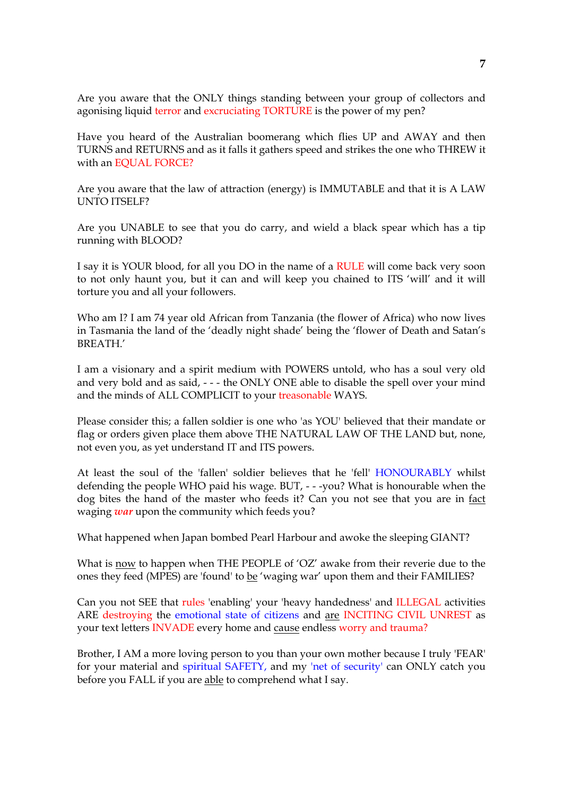Are you aware that the ONLY things standing between your group of collectors and agonising liquid terror and excruciating TORTURE is the power of my pen?

Have you heard of the Australian boomerang which flies UP and AWAY and then TURNS and RETURNS and as it falls it gathers speed and strikes the one who THREW it with an EQUAL FORCE?

Are you aware that the law of attraction (energy) is IMMUTABLE and that it is A LAW UNTO ITSELF?

Are you UNABLE to see that you do carry, and wield a black spear which has a tip running with BLOOD?

I say it is YOUR blood, for all you DO in the name of a RULE will come back very soon to not only haunt you, but it can and will keep you chained to ITS 'will' and it will torture you and all your followers.

Who am I? I am 74 year old African from Tanzania (the flower of Africa) who now lives in Tasmania the land of the 'deadly night shade' being the 'flower of Death and Satan's BREATH.'

I am a visionary and a spirit medium with POWERS untold, who has a soul very old and very bold and as said, - - - the ONLY ONE able to disable the spell over your mind and the minds of ALL COMPLICIT to your treasonable WAYS.

Please consider this; a fallen soldier is one who 'as YOU' believed that their mandate or flag or orders given place them above THE NATURAL LAW OF THE LAND but, none, not even you, as yet understand IT and ITS powers.

At least the soul of the 'fallen' soldier believes that he 'fell' HONOURABLY whilst defending the people WHO paid his wage. BUT, - - -you? What is honourable when the dog bites the hand of the master who feeds it? Can you not see that you are in fact waging *war* upon the community which feeds you?

What happened when Japan bombed Pearl Harbour and awoke the sleeping GIANT?

What is now to happen when THE PEOPLE of 'OZ' awake from their reverie due to the ones they feed (MPES) are 'found' to be 'waging war' upon them and their FAMILIES?

Can you not SEE that rules 'enabling' your 'heavy handedness' and ILLEGAL activities ARE destroying the emotional state of citizens and are INCITING CIVIL UNREST as your text letters INVADE every home and cause endless worry and trauma?

Brother, I AM a more loving person to you than your own mother because I truly 'FEAR' for your material and spiritual SAFETY, and my 'net of security' can ONLY catch you before you FALL if you are able to comprehend what I say.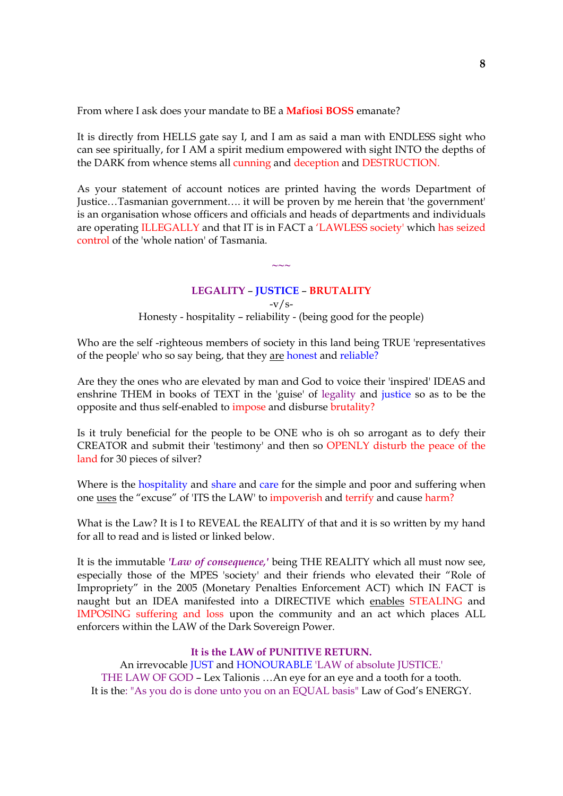From where I ask does your mandate to BE a **Mafiosi BOSS** emanate?

It is directly from HELLS gate say I, and I am as said a man with ENDLESS sight who can see spiritually, for I AM a spirit medium empowered with sight INTO the depths of the DARK from whence stems all cunning and deception and DESTRUCTION.

As your statement of account notices are printed having the words Department of Justice…Tasmanian government…. it will be proven by me herein that 'the government' is an organisation whose officers and officials and heads of departments and individuals are operating ILLEGALLY and that IT is in FACT a 'LAWLESS society' which has seized control of the 'whole nation' of Tasmania.

# **LEGALITY** – **JUSTICE** – **BRUTALITY**  $-v/s-$ Honesty - hospitality – reliability - (being good for the people)

**~~~**

Who are the self -righteous members of society in this land being TRUE 'representatives of the people' who so say being, that they are honest and reliable?

Are they the ones who are elevated by man and God to voice their 'inspired' IDEAS and enshrine THEM in books of TEXT in the 'guise' of legality and justice so as to be the opposite and thus self-enabled to impose and disburse brutality?

Is it truly beneficial for the people to be ONE who is oh so arrogant as to defy their CREATOR and submit their 'testimony' and then so OPENLY disturb the peace of the land for 30 pieces of silver?

Where is the hospitality and share and care for the simple and poor and suffering when one uses the "excuse" of 'ITS the LAW' to impoverish and terrify and cause harm?

What is the Law? It is I to REVEAL the REALITY of that and it is so written by my hand for all to read and is listed or linked below.

It is the immutable *'Law of consequence,'* being THE REALITY which all must now see, especially those of the MPES 'society' and their friends who elevated their "Role of Impropriety" in the 2005 (Monetary Penalties Enforcement ACT) which IN FACT is naught but an IDEA manifested into a DIRECTIVE which enables STEALING and IMPOSING suffering and loss upon the community and an act which places ALL enforcers within the LAW of the Dark Sovereign Power.

#### **It is the LAW of PUNITIVE RETURN.**

An irrevocable JUST and HONOURABLE 'LAW of absolute JUSTICE.' THE LAW OF GOD – Lex Talionis …An eye for an eye and a tooth for a tooth. It is the: "As you do is done unto you on an EQUAL basis" Law of God's ENERGY.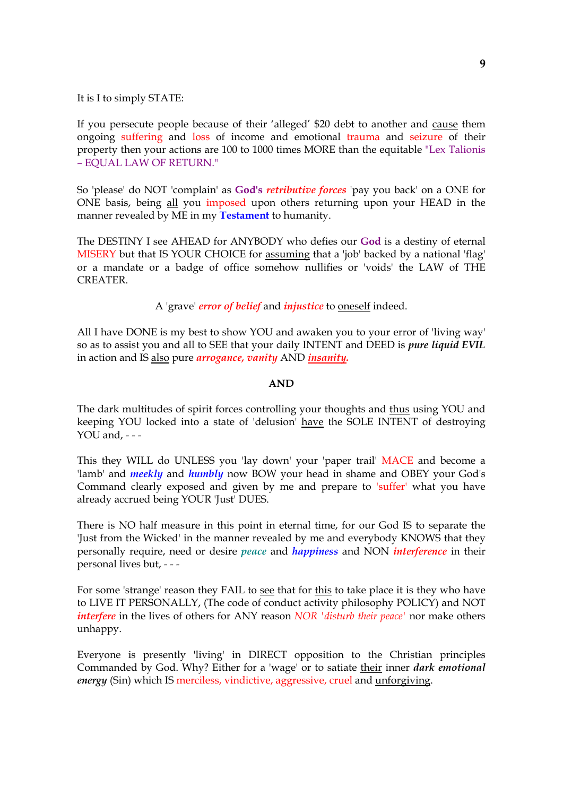### It is I to simply STATE:

If you persecute people because of their 'alleged' \$20 debt to another and cause them ongoing suffering and loss of income and emotional trauma and seizure of their property then your actions are 100 to 1000 times MORE than the equitable "Lex Talionis – EQUAL LAW OF RETURN."

So 'please' do NOT 'complain' as **God's** *retributive forces* 'pay you back' on a ONE for ONE basis, being all you imposed upon others returning upon your HEAD in the manner revealed by ME in my **Testament** to humanity.

The DESTINY I see AHEAD for ANYBODY who defies our **God** is a destiny of eternal MISERY but that IS YOUR CHOICE for assuming that a 'job' backed by a national 'flag' or a mandate or a badge of office somehow nullifies or 'voids' the LAW of THE CREATER.

## A 'grave' *error of belief* and *injustice* to oneself indeed.

All I have DONE is my best to show YOU and awaken you to your error of 'living way' so as to assist you and all to SEE that your daily INTENT and DEED is *pure liquid EVIL* in action and IS also pure *arrogance, vanity* AND *insanity.*

### **AND**

The dark multitudes of spirit forces controlling your thoughts and thus using YOU and keeping YOU locked into a state of 'delusion' have the SOLE INTENT of destroying YOU and, - - -

This they WILL do UNLESS you 'lay down' your 'paper trail' MACE and become a 'lamb' and *meekly* and *humbly* now BOW your head in shame and OBEY your God's Command clearly exposed and given by me and prepare to 'suffer' what you have already accrued being YOUR 'Just' DUES.

There is NO half measure in this point in eternal time, for our God IS to separate the 'Just from the Wicked' in the manner revealed by me and everybody KNOWS that they personally require, need or desire *peace* and *happiness* and NON *interference* in their personal lives but, - - -

For some 'strange' reason they FAIL to see that for this to take place it is they who have to LIVE IT PERSONALLY, (The code of conduct activity philosophy POLICY) and NOT *interfere* in the lives of others for ANY reason *NOR 'disturb their peace'* nor make others unhappy.

Everyone is presently 'living' in DIRECT opposition to the Christian principles Commanded by God. Why? Either for a 'wage' or to satiate their inner *dark emotional energy* (Sin) which IS merciless, vindictive, aggressive, cruel and unforgiving.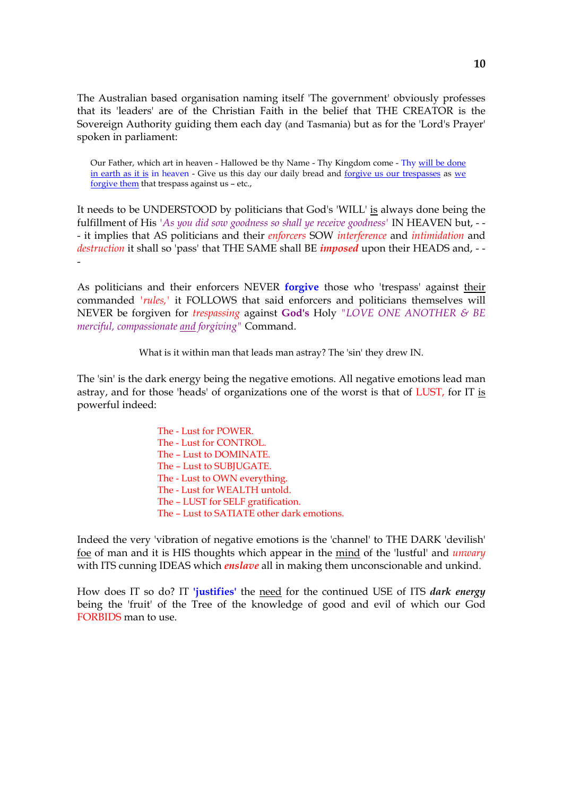The Australian based organisation naming itself 'The government' obviously professes that its 'leaders' are of the Christian Faith in the belief that THE CREATOR is the Sovereign Authority guiding them each day (and Tasmania) but as for the 'Lord's Prayer' spoken in parliament:

Our Father, which art in heaven - Hallowed be thy Name - Thy Kingdom come - Thy will be done in earth as it is in heaven - Give us this day our daily bread and forgive us our trespasses as we forgive them that trespass against us – etc.,

It needs to be UNDERSTOOD by politicians that God's 'WILL' is always done being the fulfillment of His *'As you did sow goodness so shall ye receive goodness'* IN HEAVEN but, - - - it implies that AS politicians and their *enforcers* SOW *interference* and *intimidation* and *destruction* it shall so 'pass' that THE SAME shall BE *imposed* upon their HEADS and, - - -

As politicians and their enforcers NEVER **forgive** those who 'trespass' against their commanded *'rules,'* it FOLLOWS that said enforcers and politicians themselves will NEVER be forgiven for *trespassing* against **God's** Holy *"LOVE ONE ANOTHER & BE merciful, compassionate and forgiving"* Command.

What is it within man that leads man astray? The 'sin' they drew IN.

The 'sin' is the dark energy being the negative emotions. All negative emotions lead man astray, and for those 'heads' of organizations one of the worst is that of LUST, for IT is powerful indeed:

> The - Lust for POWER. The - Lust for CONTROL. The – Lust to DOMINATE. The – Lust to SUBJUGATE. The - Lust to OWN everything. The - Lust for WEALTH untold. The – LUST for SELF gratification. The – Lust to SATIATE other dark emotions.

Indeed the very 'vibration of negative emotions is the 'channel' to THE DARK 'devilish' foe of man and it is HIS thoughts which appear in the mind of the 'lustful' and *unwary* with ITS cunning IDEAS which *enslave* all in making them unconscionable and unkind.

How does IT so do? IT **'justifies'** the need for the continued USE of ITS *dark energy* being the 'fruit' of the Tree of the knowledge of good and evil of which our God FORBIDS man to use.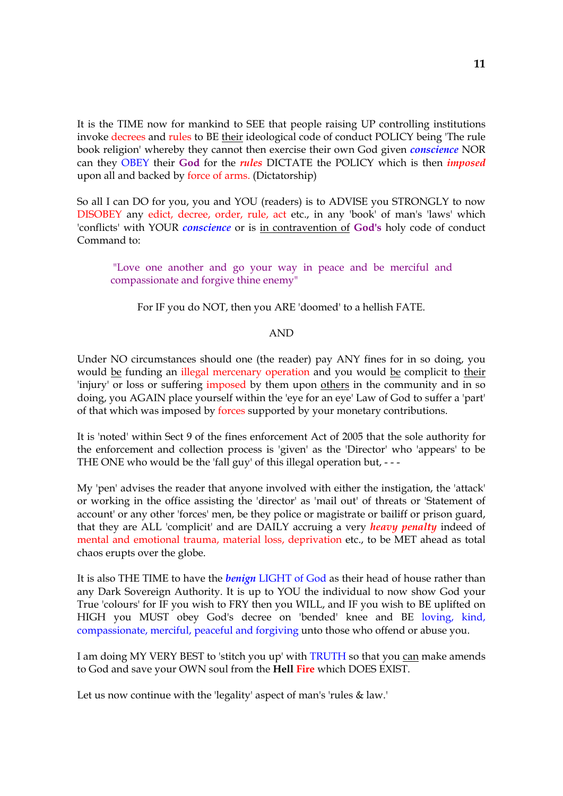It is the TIME now for mankind to SEE that people raising UP controlling institutions invoke decrees and rules to BE their ideological code of conduct POLICY being 'The rule book religion' whereby they cannot then exercise their own God given *conscience* NOR can they OBEY their **God** for the *rules* DICTATE the POLICY which is then *imposed* upon all and backed by force of arms. (Dictatorship)

So all I can DO for you, you and YOU (readers) is to ADVISE you STRONGLY to now DISOBEY any edict, decree, order, rule, act etc., in any 'book' of man's 'laws' which 'conflicts' with YOUR *conscience* or is in contravention of **God's** holy code of conduct Command to:

"Love one another and go your way in peace and be merciful and compassionate and forgive thine enemy"

For IF you do NOT, then you ARE 'doomed' to a hellish FATE.

#### AND

Under NO circumstances should one (the reader) pay ANY fines for in so doing, you would be funding an illegal mercenary operation and you would be complicit to their 'injury' or loss or suffering imposed by them upon others in the community and in so doing, you AGAIN place yourself within the 'eye for an eye' Law of God to suffer a 'part' of that which was imposed by forces supported by your monetary contributions.

It is 'noted' within Sect 9 of the fines enforcement Act of 2005 that the sole authority for the enforcement and collection process is 'given' as the 'Director' who 'appears' to be THE ONE who would be the 'fall guy' of this illegal operation but, - - -

My 'pen' advises the reader that anyone involved with either the instigation, the 'attack' or working in the office assisting the 'director' as 'mail out' of threats or 'Statement of account' or any other 'forces' men, be they police or magistrate or bailiff or prison guard, that they are ALL 'complicit' and are DAILY accruing a very *heavy penalty* indeed of mental and emotional trauma, material loss, deprivation etc., to be MET ahead as total chaos erupts over the globe.

It is also THE TIME to have the *benign* LIGHT of God as their head of house rather than any Dark Sovereign Authority. It is up to YOU the individual to now show God your True 'colours' for IF you wish to FRY then you WILL, and IF you wish to BE uplifted on HIGH you MUST obey God's decree on 'bended' knee and BE loving, kind, compassionate, merciful, peaceful and forgiving unto those who offend or abuse you.

I am doing MY VERY BEST to 'stitch you up' with TRUTH so that you can make amends to God and save your OWN soul from the **Hell Fire** which DOES EXIST.

Let us now continue with the 'legality' aspect of man's 'rules & law.'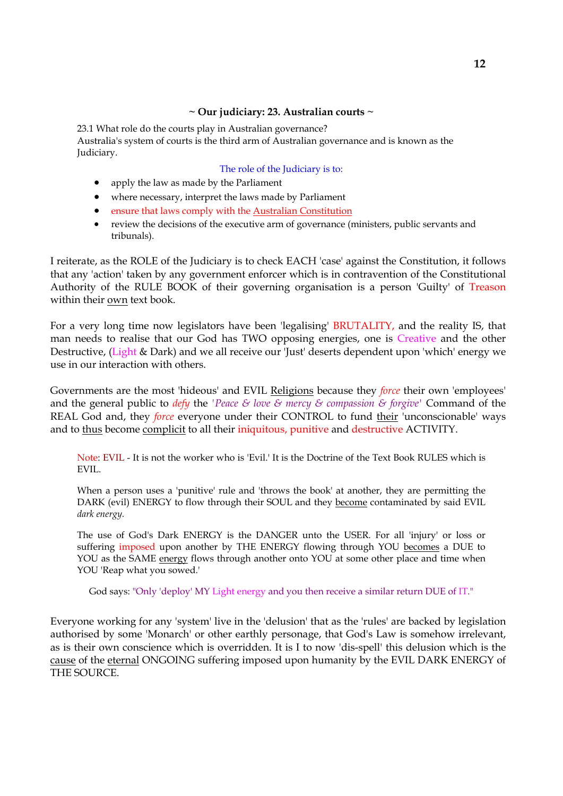## **~ Our judiciary: 23. Australian courts ~**

23.1 What role do the courts play in Australian governance?

Australia's system of courts is the third arm of Australian governance and is known as the Judiciary.

### The role of the Judiciary is to:

- apply the law as made by the Parliament
- where necessary, interpret the laws made by Parliament
- ensure that laws comply with the Australian Constitution
- review the decisions of the executive arm of governance (ministers, public servants and tribunals).

I reiterate, as the ROLE of the Judiciary is to check EACH 'case' against the Constitution, it follows that any 'action' taken by any government enforcer which is in contravention of the Constitutional Authority of the RULE BOOK of their governing organisation is a person 'Guilty' of Treason within their own text book.

For a very long time now legislators have been 'legalising' BRUTALITY, and the reality IS, that man needs to realise that our God has TWO opposing energies, one is Creative and the other Destructive, (Light & Dark) and we all receive our 'Just' deserts dependent upon 'which' energy we use in our interaction with others.

Governments are the most 'hideous' and EVIL Religions because they *force* their own 'employees' and the general public to *defy* the *'Peace & love & mercy & compassion & forgive'* Command of the REAL God and, they *force* everyone under their CONTROL to fund their 'unconscionable' ways and to thus become complicit to all their iniquitous, punitive and destructive ACTIVITY.

Note: EVIL - It is not the worker who is 'Evil.' It is the Doctrine of the Text Book RULES which is EVIL.

When a person uses a 'punitive' rule and 'throws the book' at another, they are permitting the DARK (evil) ENERGY to flow through their SOUL and they become contaminated by said EVIL *dark energy.*

The use of God's Dark ENERGY is the DANGER unto the USER. For all 'injury' or loss or suffering imposed upon another by THE ENERGY flowing through YOU becomes a DUE to YOU as the SAME energy flows through another onto YOU at some other place and time when YOU 'Reap what you sowed.'

God says: "Only 'deploy' MY Light energy and you then receive a similar return DUE of IT."

Everyone working for any 'system' live in the 'delusion' that as the 'rules' are backed by legislation authorised by some 'Monarch' or other earthly personage, that God's Law is somehow irrelevant, as is their own conscience which is overridden. It is I to now 'dis-spell' this delusion which is the cause of the eternal ONGOING suffering imposed upon humanity by the EVIL DARK ENERGY of THE SOURCE.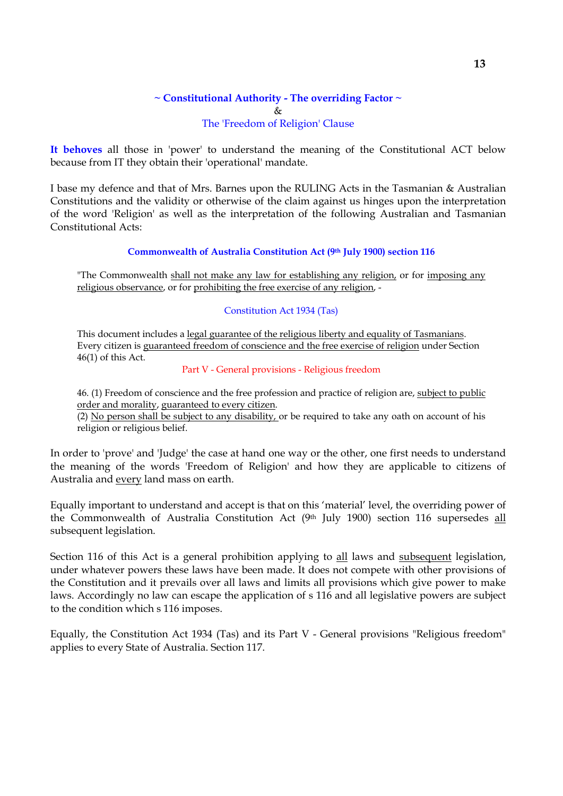# **~ Constitutional Authority - The overriding Factor ~** & The 'Freedom of Religion' Clause

**It behoves** all those in 'power' to understand the meaning of the Constitutional ACT below because from IT they obtain their 'operational' mandate.

I base my defence and that of Mrs. Barnes upon the RULING Acts in the Tasmanian & Australian Constitutions and the validity or otherwise of the claim against us hinges upon the interpretation of the word 'Religion' as well as the interpretation of the following Australian and Tasmanian Constitutional Acts:

## **Commonwealth of Australia Constitution Act (9th July 1900) section 116**

"The Commonwealth shall not make any law for establishing any religion, or for imposing any religious observance, or for prohibiting the free exercise of any religion, -

### Constitution Act 1934 (Tas)

This document includes a <u>legal guarantee of the religious liberty and equality of Tasmanians</u>. Every citizen is guaranteed freedom of conscience and the free exercise of religion under Section 46(1) of this Act.

## Part V - General provisions - Religious freedom

46. (1) Freedom of conscience and the free profession and practice of religion are, subject to public order and morality, guaranteed to every citizen.

(2) No person shall be subject to any disability, or be required to take any oath on account of his religion or religious belief.

In order to 'prove' and 'Judge' the case at hand one way or the other, one first needs to understand the meaning of the words 'Freedom of Religion' and how they are applicable to citizens of Australia and every land mass on earth.

Equally important to understand and accept is that on this 'material' level, the overriding power of the Commonwealth of Australia Constitution Act (9th July 1900) section 116 supersedes all subsequent legislation.

Section 116 of this Act is a general prohibition applying to all laws and subsequent legislation, under whatever powers these laws have been made. It does not compete with other provisions of the Constitution and it prevails over all laws and limits all provisions which give power to make laws. Accordingly no law can escape the application of s 116 and all legislative powers are subject to the condition which s 116 imposes.

Equally, the Constitution Act 1934 (Tas) and its Part V - General provisions "Religious freedom" applies to every State of Australia. Section 117.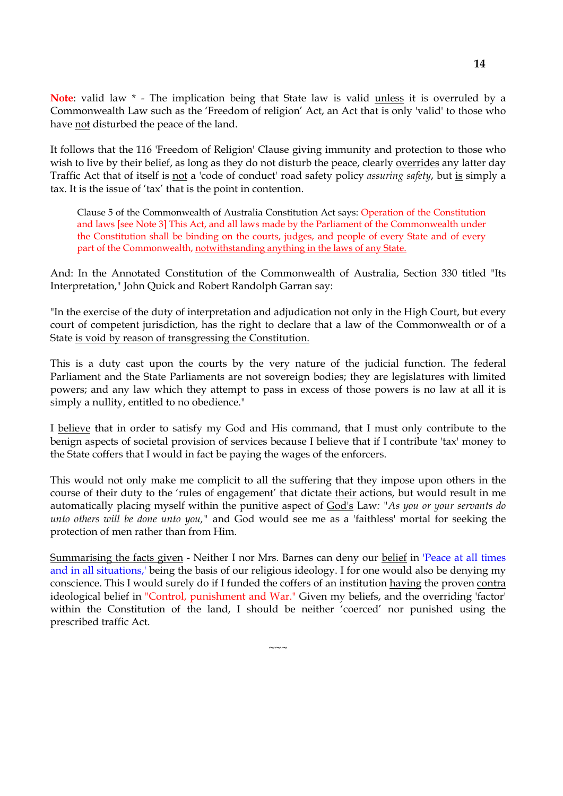**Note**: valid law \* - The implication being that State law is valid unless it is overruled by a Commonwealth Law such as the 'Freedom of religion' Act, an Act that is only 'valid' to those who have not disturbed the peace of the land.

It follows that the 116 'Freedom of Religion' Clause giving immunity and protection to those who wish to live by their belief, as long as they do not disturb the peace, clearly overrides any latter day Traffic Act that of itself is not a 'code of conduct' road safety policy *assuring safety*, but is simply a tax. It is the issue of 'tax' that is the point in contention.

Clause 5 of the Commonwealth of Australia Constitution Act says: Operation of the Constitution and laws [see Note 3] This Act, and all laws made by the Parliament of the Commonwealth under the Constitution shall be binding on the courts, judges, and people of every State and of every part of the Commonwealth, notwithstanding anything in the laws of any State.

And: In the Annotated Constitution of the Commonwealth of Australia, Section 330 titled "Its Interpretation," John Quick and Robert Randolph Garran say:

"In the exercise of the duty of interpretation and adjudication not only in the High Court, but every court of competent jurisdiction, has the right to declare that a law of the Commonwealth or of a State is void by reason of transgressing the Constitution.

This is a duty cast upon the courts by the very nature of the judicial function. The federal Parliament and the State Parliaments are not sovereign bodies; they are legislatures with limited powers; and any law which they attempt to pass in excess of those powers is no law at all it is simply a nullity, entitled to no obedience."

I believe that in order to satisfy my God and His command, that I must only contribute to the benign aspects of societal provision of services because I believe that if I contribute 'tax' money to the State coffers that I would in fact be paying the wages of the enforcers.

This would not only make me complicit to all the suffering that they impose upon others in the course of their duty to the 'rules of engagement' that dictate their actions, but would result in me automatically placing myself within the punitive aspect of God's Law*: "As you or your servants do unto others will be done unto you,"* and God would see me as a 'faithless' mortal for seeking the protection of men rather than from Him.

Summarising the facts given - Neither I nor Mrs. Barnes can deny our belief in 'Peace at all times and in all situations,' being the basis of our religious ideology. I for one would also be denying my conscience. This I would surely do if I funded the coffers of an institution having the proven contra ideological belief in "Control, punishment and War." Given my beliefs, and the overriding 'factor' within the Constitution of the land, I should be neither 'coerced' nor punished using the prescribed traffic Act.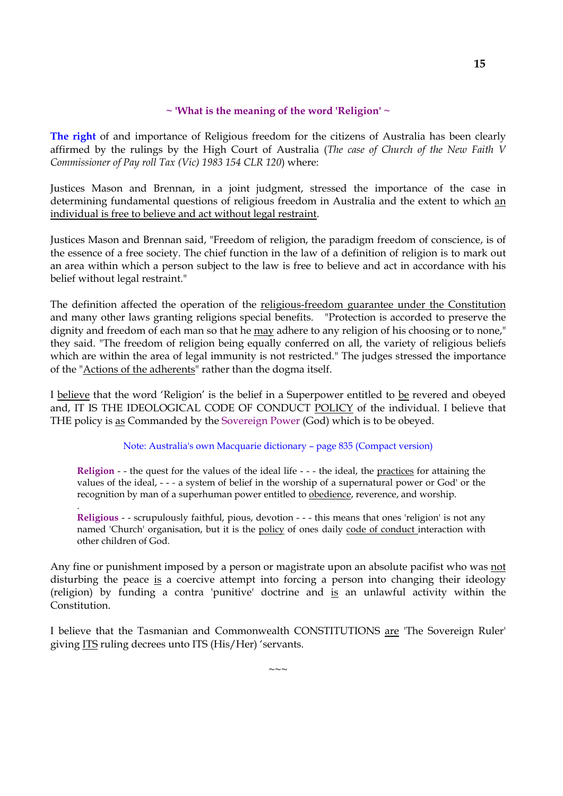## **~ 'What is the meaning of the word 'Religion' ~**

**The right** of and importance of Religious freedom for the citizens of Australia has been clearly affirmed by the rulings by the High Court of Australia (*The case of Church of the New Faith V Commissioner of Pay roll Tax (Vic) 1983 154 CLR 120*) where:

Justices Mason and Brennan, in a joint judgment, stressed the importance of the case in determining fundamental questions of religious freedom in Australia and the extent to which an individual is free to believe and act without legal restraint.

Justices Mason and Brennan said, "Freedom of religion, the paradigm freedom of conscience, is of the essence of a free society. The chief function in the law of a definition of religion is to mark out an area within which a person subject to the law is free to believe and act in accordance with his belief without legal restraint."

The definition affected the operation of the religious-freedom guarantee under the Constitution and many other laws granting religions special benefits. "Protection is accorded to preserve the dignity and freedom of each man so that he may adhere to any religion of his choosing or to none," they said. "The freedom of religion being equally conferred on all, the variety of religious beliefs which are within the area of legal immunity is not restricted." The judges stressed the importance of the "Actions of the adherents" rather than the dogma itself.

I believe that the word 'Religion' is the belief in a Superpower entitled to be revered and obeyed and, IT IS THE IDEOLOGICAL CODE OF CONDUCT POLICY of the individual. I believe that THE policy is as Commanded by the Sovereign Power (God) which is to be obeyed.

Note: Australia's own Macquarie dictionary – page 835 (Compact version)

**Religion** - - the quest for the values of the ideal life - - - the ideal, the practices for attaining the values of the ideal, - - *-* a system of belief in the worship of a supernatural power or God' or the recognition by man of a superhuman power entitled to obedience, reverence, and worship.

.

**Religious** - - scrupulously faithful, pious, devotion - - - this means that ones 'religion' is not any named 'Church' organisation, but it is the policy of ones daily code of conduct interaction with other children of God.

Any fine or punishment imposed by a person or magistrate upon an absolute pacifist who was not disturbing the peace is a coercive attempt into forcing a person into changing their ideology (religion) by funding a contra 'punitive' doctrine and is an unlawful activity within the Constitution.

I believe that the Tasmanian and Commonwealth CONSTITUTIONS are 'The Sovereign Ruler' giving ITS ruling decrees unto ITS (His/Her) 'servants.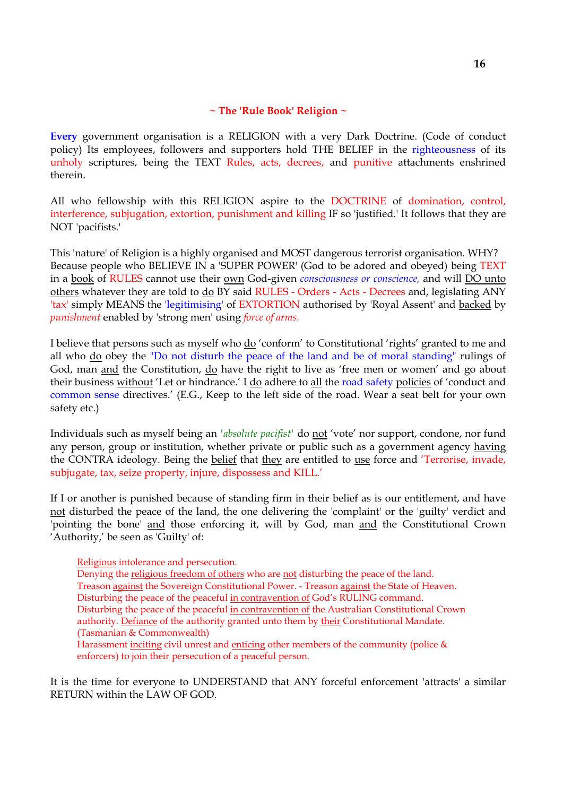## **~ The 'Rule Book' Religion ~**

**Every** government organisation is a RELIGION with a very Dark Doctrine. (Code of conduct policy) Its employees, followers and supporters hold THE BELIEF in the righteousness of its unholy scriptures, being the TEXT Rules, acts, decrees, and punitive attachments enshrined therein.

All who fellowship with this RELIGION aspire to the DOCTRINE of domination, control, interference, subjugation, extortion, punishment and killing IF so 'justified.' It follows that they are NOT 'pacifists.'

This 'nature' of Religion is a highly organised and MOST dangerous terrorist organisation. WHY? Because people who BELIEVE IN a 'SUPER POWER' (God to be adored and obeyed) being TEXT in a book of RULES cannot use their own God-given *consciousness or conscience,* and will DO unto others whatever they are told to do BY said RULES - Orders - Acts - Decrees and, legislating ANY 'tax' simply MEANS the 'legitimising' of EXTORTION authorised by 'Royal Assent' and backed by *punishment* enabled by 'strong men' using *force of arms.*

I believe that persons such as myself who  $\underline{do}$  'conform' to Constitutional 'rights' granted to me and all who do obey the "Do not disturb the peace of the land and be of moral standing" rulings of God, man and the Constitution, do have the right to live as 'free men or women' and go about their business without 'Let or hindrance.' I do adhere to all the road safety policies of 'conduct and common sense directives.' (E.G., Keep to the left side of the road. Wear a seat belt for your own safety etc.)

Individuals such as myself being an *'absolute pacifist'* do not 'vote' nor support, condone, nor fund any person, group or institution, whether private or public such as a government agency having the CONTRA ideology. Being the belief that they are entitled to use force and 'Terrorise, invade, subjugate, tax, seize property, injure, dispossess and KILL.'

If I or another is punished because of standing firm in their belief as is our entitlement, and have not disturbed the peace of the land, the one delivering the 'complaint' or the 'guilty' verdict and 'pointing the bone' and those enforcing it, will by God, man and the Constitutional Crown 'Authority,' be seen as 'Guilty' of:

Religious intolerance and persecution.

Denying the religious freedom of others who are not disturbing the peace of the land. Treason against the Sovereign Constitutional Power. - Treason against the State of Heaven. Disturbing the peace of the peaceful in contravention of God's RULING command. Disturbing the peace of the peaceful in contravention of the Australian Constitutional Crown authority. Defiance of the authority granted unto them by their Constitutional Mandate. (Tasmanian & Commonwealth) Harassment inciting civil unrest and enticing other members of the community (police & enforcers) to join their persecution of a peaceful person.

It is the time for everyone to UNDERSTAND that ANY forceful enforcement 'attracts' a similar RETURN within the LAW OF GOD.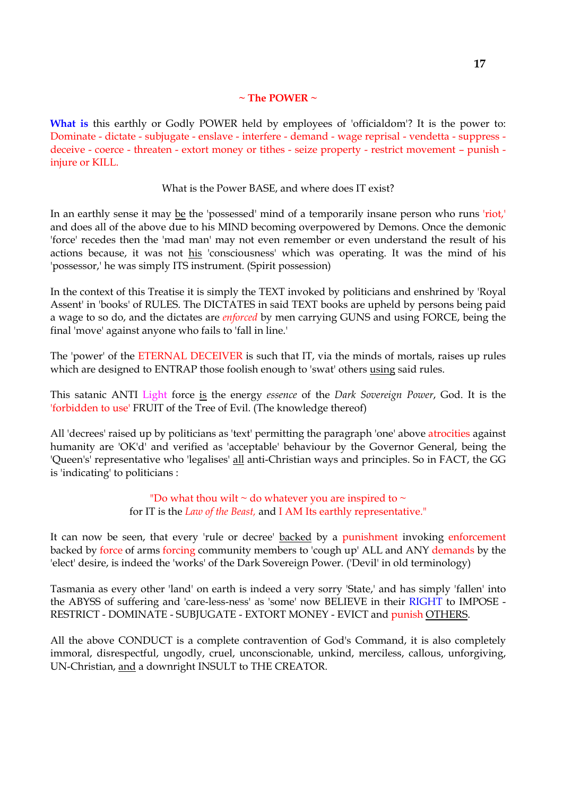# **~ The POWER ~**

What is this earthly or Godly POWER held by employees of 'officialdom'? It is the power to: Dominate - dictate - subjugate - enslave - interfere - demand - wage reprisal - vendetta - suppress deceive - coerce - threaten - extort money or tithes - seize property - restrict movement – punish injure or KILL.

# What is the Power BASE, and where does IT exist?

In an earthly sense it may be the 'possessed' mind of a temporarily insane person who runs 'riot,' and does all of the above due to his MIND becoming overpowered by Demons. Once the demonic 'force' recedes then the 'mad man' may not even remember or even understand the result of his actions because, it was not his 'consciousness' which was operating. It was the mind of his 'possessor,' he was simply ITS instrument. (Spirit possession)

In the context of this Treatise it is simply the TEXT invoked by politicians and enshrined by 'Royal Assent' in 'books' of RULES. The DICTATES in said TEXT books are upheld by persons being paid a wage to so do, and the dictates are *enforced* by men carrying GUNS and using FORCE, being the final 'move' against anyone who fails to 'fall in line.'

The 'power' of the ETERNAL DECEIVER is such that IT, via the minds of mortals, raises up rules which are designed to ENTRAP those foolish enough to 'swat' others using said rules.

This satanic ANTI Light force is the energy *essence* of the *Dark Sovereign Power*, God. It is the 'forbidden to use' FRUIT of the Tree of Evil. (The knowledge thereof)

All 'decrees' raised up by politicians as 'text' permitting the paragraph 'one' above atrocities against humanity are 'OK'd' and verified as 'acceptable' behaviour by the Governor General, being the 'Queen's' representative who 'legalises' all anti-Christian ways and principles. So in FACT, the GG is 'indicating' to politicians :

> "Do what thou wilt  $\sim$  do whatever you are inspired to  $\sim$ for IT is the *Law of the Beast,* and I AM Its earthly representative."

It can now be seen, that every 'rule or decree' backed by a punishment invoking enforcement backed by force of arms forcing community members to 'cough up' ALL and ANY demands by the 'elect' desire, is indeed the 'works' of the Dark Sovereign Power. ('Devil' in old terminology)

Tasmania as every other 'land' on earth is indeed a very sorry 'State,' and has simply 'fallen' into the ABYSS of suffering and 'care-less-ness' as 'some' now BELIEVE in their RIGHT to IMPOSE - RESTRICT - DOMINATE - SUBJUGATE - EXTORT MONEY - EVICT and punish OTHERS.

All the above CONDUCT is a complete contravention of God's Command, it is also completely immoral, disrespectful, ungodly, cruel, unconscionable, unkind, merciless, callous, unforgiving, UN-Christian, and a downright INSULT to THE CREATOR.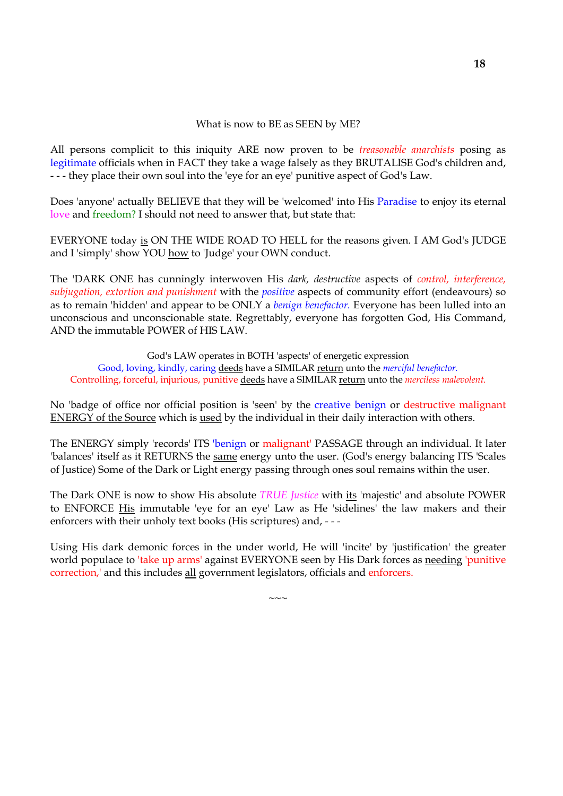### What is now to BE as SEEN by ME?

All persons complicit to this iniquity ARE now proven to be *treasonable anarchists* posing as legitimate officials when in FACT they take a wage falsely as they BRUTALISE God's children and, - - - they place their own soul into the 'eye for an eye' punitive aspect of God's Law.

Does 'anyone' actually BELIEVE that they will be 'welcomed' into His Paradise to enjoy its eternal love and freedom? I should not need to answer that, but state that:

EVERYONE today is ON THE WIDE ROAD TO HELL for the reasons given. I AM God's JUDGE and I 'simply' show YOU how to 'Judge' your OWN conduct.

The 'DARK ONE has cunningly interwoven His *dark, destructive* aspects of *control, interference, subjugation, extortion and punishment* with the *positive* aspects of community effort (endeavours) so as to remain 'hidden' and appear to be ONLY a *benign benefactor.* Everyone has been lulled into an unconscious and unconscionable state. Regrettably, everyone has forgotten God, His Command, AND the immutable POWER of HIS LAW.

God's LAW operates in BOTH 'aspects' of energetic expression Good, loving, kindly, caring deeds have a SIMILAR return unto the *merciful benefactor.* Controlling, forceful, injurious, punitive deeds have a SIMILAR return unto the *merciless malevolent.*

No 'badge of office nor official position is 'seen' by the creative benign or destructive malignant ENERGY of the Source which is used by the individual in their daily interaction with others.

The ENERGY simply 'records' ITS 'benign or malignant' PASSAGE through an individual. It later 'balances' itself as it RETURNS the same energy unto the user. (God's energy balancing ITS 'Scales of Justice) Some of the Dark or Light energy passing through ones soul remains within the user.

The Dark ONE is now to show His absolute *TRUE Justice* with its 'majestic' and absolute POWER to ENFORCE His immutable 'eye for an eye' Law as He 'sidelines' the law makers and their enforcers with their unholy text books (His scriptures) and, - - -

Using His dark demonic forces in the under world, He will 'incite' by 'justification' the greater world populace to 'take up arms' against EVERYONE seen by His Dark forces as needing 'punitive correction,' and this includes all government legislators, officials and enforcers.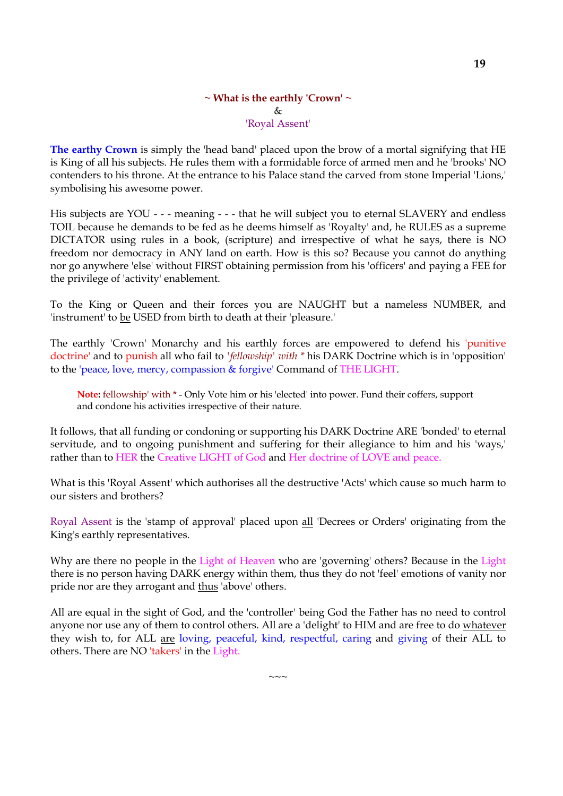## **~ What is the earthly 'Crown' ~** & 'Royal Assent'

**The earthy Crown** is simply the 'head band' placed upon the brow of a mortal signifying that HE is King of all his subjects. He rules them with a formidable force of armed men and he 'brooks' NO contenders to his throne. At the entrance to his Palace stand the carved from stone Imperial 'Lions,' symbolising his awesome power.

His subjects are YOU - - - meaning - - - that he will subject you to eternal SLAVERY and endless TOIL because he demands to be fed as he deems himself as 'Royalty' and, he RULES as a supreme DICTATOR using rules in a book, (scripture) and irrespective of what he says, there is NO freedom nor democracy in ANY land on earth. How is this so? Because you cannot do anything nor go anywhere 'else' without FIRST obtaining permission from his 'officers' and paying a FEE for the privilege of 'activity' enablement.

To the King or Queen and their forces you are NAUGHT but a nameless NUMBER, and 'instrument' to be USED from birth to death at their 'pleasure.'

The earthly 'Crown' Monarchy and his earthly forces are empowered to defend his 'punitive doctrine' and to punish all who fail to *'fellowship' with \** his DARK Doctrine which is in 'opposition' to the 'peace, love, mercy, compassion & forgive' Command of THE LIGHT.

**Note:** fellowship' with \* - Only Vote him or his 'elected' into power. Fund their coffers, support and condone his activities irrespective of their nature.

It follows, that all funding or condoning or supporting his DARK Doctrine ARE 'bonded' to eternal servitude, and to ongoing punishment and suffering for their allegiance to him and his 'ways,' rather than to HER the Creative LIGHT of God and Her doctrine of LOVE and peace.

What is this 'Royal Assent' which authorises all the destructive 'Acts' which cause so much harm to our sisters and brothers?

Royal Assent is the 'stamp of approval' placed upon all 'Decrees or Orders' originating from the King's earthly representatives.

Why are there no people in the Light of Heaven who are 'governing' others? Because in the Light there is no person having DARK energy within them, thus they do not 'feel' emotions of vanity nor pride nor are they arrogant and thus 'above' others.

All are equal in the sight of God, and the 'controller' being God the Father has no need to control anyone nor use any of them to control others. All are a 'delight' to HIM and are free to do whatever they wish to, for ALL are loving, peaceful, kind, respectful, caring and giving of their ALL to others. There are NO 'takers' in the Light.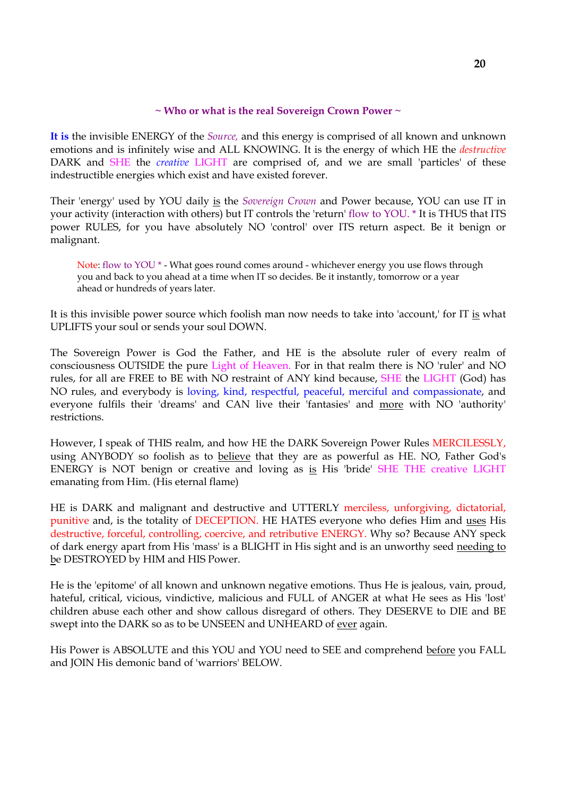## **~ Who or what is the real Sovereign Crown Power ~**

**It is** the invisible ENERGY of the *Source,* and this energy is comprised of all known and unknown emotions and is infinitely wise and ALL KNOWING. It is the energy of which HE the *destructive* DARK and SHE the *creative* LIGHT are comprised of, and we are small 'particles' of these indestructible energies which exist and have existed forever.

Their 'energy' used by YOU daily is the *Sovereign Crown* and Power because, YOU can use IT in your activity (interaction with others) but IT controls the 'return' flow to YOU. \* It is THUS that ITS power RULES, for you have absolutely NO 'control' over ITS return aspect. Be it benign or malignant.

Note: flow to YOU \* - What goes round comes around - whichever energy you use flows through you and back to you ahead at a time when IT so decides. Be it instantly, tomorrow or a year ahead or hundreds of years later.

It is this invisible power source which foolish man now needs to take into 'account,' for IT is what UPLIFTS your soul or sends your soul DOWN.

The Sovereign Power is God the Father, and HE is the absolute ruler of every realm of consciousness OUTSIDE the pure Light of Heaven. For in that realm there is NO 'ruler' and NO rules, for all are FREE to BE with NO restraint of ANY kind because, SHE the LIGHT (God) has NO rules, and everybody is loving, kind, respectful, peaceful, merciful and compassionate, and everyone fulfils their 'dreams' and CAN live their 'fantasies' and more with NO 'authority' restrictions.

However, I speak of THIS realm, and how HE the DARK Sovereign Power Rules MERCILESSLY, using ANYBODY so foolish as to believe that they are as powerful as HE. NO, Father God's ENERGY is NOT benign or creative and loving as is His 'bride' SHE THE creative LIGHT emanating from Him. (His eternal flame)

HE is DARK and malignant and destructive and UTTERLY merciless, unforgiving, dictatorial, punitive and, is the totality of DECEPTION. HE HATES everyone who defies Him and uses His destructive, forceful, controlling, coercive, and retributive ENERGY. Why so? Because ANY speck of dark energy apart from His 'mass' is a BLIGHT in His sight and is an unworthy seed needing to be DESTROYED by HIM and HIS Power.

He is the 'epitome' of all known and unknown negative emotions. Thus He is jealous, vain, proud, hateful, critical, vicious, vindictive, malicious and FULL of ANGER at what He sees as His 'lost' children abuse each other and show callous disregard of others. They DESERVE to DIE and BE swept into the DARK so as to be UNSEEN and UNHEARD of ever again.

His Power is ABSOLUTE and this YOU and YOU need to SEE and comprehend before you FALL and JOIN His demonic band of 'warriors' BELOW.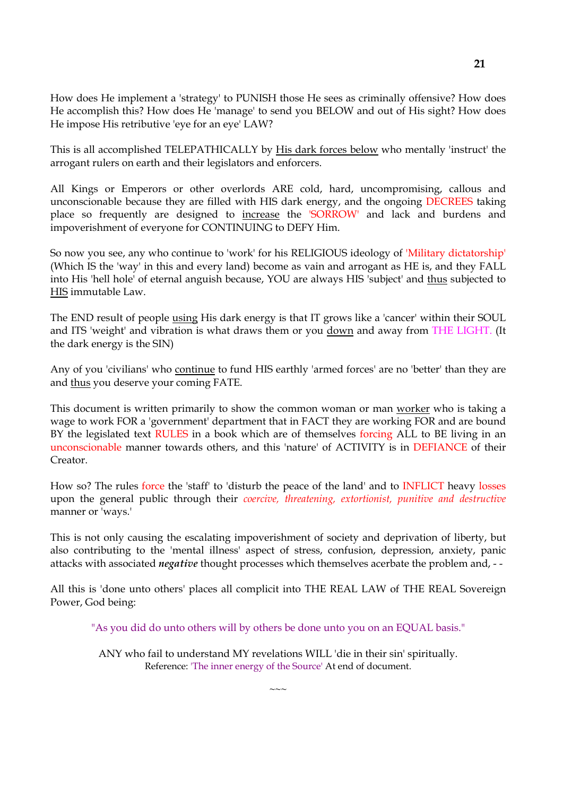How does He implement a 'strategy' to PUNISH those He sees as criminally offensive? How does He accomplish this? How does He 'manage' to send you BELOW and out of His sight? How does He impose His retributive 'eye for an eye' LAW?

This is all accomplished TELEPATHICALLY by His dark forces below who mentally 'instruct' the arrogant rulers on earth and their legislators and enforcers.

All Kings or Emperors or other overlords ARE cold, hard, uncompromising, callous and unconscionable because they are filled with HIS dark energy, and the ongoing DECREES taking place so frequently are designed to increase the 'SORROW' and lack and burdens and impoverishment of everyone for CONTINUING to DEFY Him.

So now you see, any who continue to 'work' for his RELIGIOUS ideology of 'Military dictatorship' (Which IS the 'way' in this and every land) become as vain and arrogant as HE is, and they FALL into His 'hell hole' of eternal anguish because, YOU are always HIS 'subject' and thus subjected to HIS immutable Law.

The END result of people using His dark energy is that IT grows like a 'cancer' within their SOUL and ITS 'weight' and vibration is what draws them or you down and away from THE LIGHT. (It the dark energy is the SIN)

Any of you 'civilians' who continue to fund HIS earthly 'armed forces' are no 'better' than they are and thus you deserve your coming FATE.

This document is written primarily to show the common woman or man worker who is taking a wage to work FOR a 'government' department that in FACT they are working FOR and are bound BY the legislated text RULES in a book which are of themselves forcing ALL to BE living in an unconscionable manner towards others, and this 'nature' of ACTIVITY is in DEFIANCE of their Creator.

How so? The rules force the 'staff' to 'disturb the peace of the land' and to INFLICT heavy losses upon the general public through their *coercive, threatening, extortionist, punitive and destructive* manner or 'ways.'

This is not only causing the escalating impoverishment of society and deprivation of liberty, but also contributing to the 'mental illness' aspect of stress, confusion, depression, anxiety, panic attacks with associated *negative* thought processes which themselves acerbate the problem and, - -

All this is 'done unto others' places all complicit into THE REAL LAW of THE REAL Sovereign Power, God being:

"As you did do unto others will by others be done unto you on an EQUAL basis."

ANY who fail to understand MY revelations WILL 'die in their sin' spiritually. Reference: 'The inner energy of the Source' At end of document.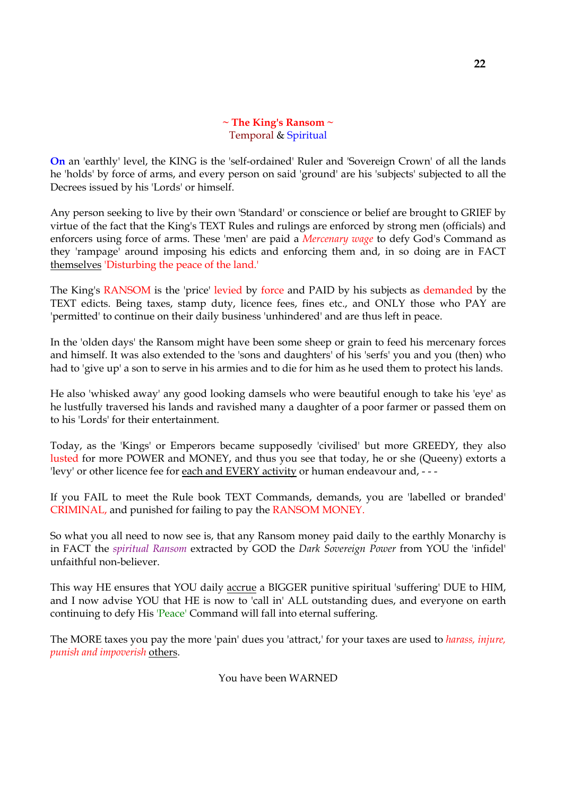# **~ The King's Ransom ~** Temporal & Spiritual

**On** an 'earthly' level, the KING is the 'self-ordained' Ruler and 'Sovereign Crown' of all the lands he 'holds' by force of arms, and every person on said 'ground' are his 'subjects' subjected to all the Decrees issued by his 'Lords' or himself.

Any person seeking to live by their own 'Standard' or conscience or belief are brought to GRIEF by virtue of the fact that the King's TEXT Rules and rulings are enforced by strong men (officials) and enforcers using force of arms. These 'men' are paid a *Mercenary wage* to defy God's Command as they 'rampage' around imposing his edicts and enforcing them and, in so doing are in FACT themselves 'Disturbing the peace of the land.'

The King's RANSOM is the 'price' levied by force and PAID by his subjects as demanded by the TEXT edicts. Being taxes, stamp duty, licence fees, fines etc., and ONLY those who PAY are 'permitted' to continue on their daily business 'unhindered' and are thus left in peace.

In the 'olden days' the Ransom might have been some sheep or grain to feed his mercenary forces and himself. It was also extended to the 'sons and daughters' of his 'serfs' you and you (then) who had to 'give up' a son to serve in his armies and to die for him as he used them to protect his lands.

He also 'whisked away' any good looking damsels who were beautiful enough to take his 'eye' as he lustfully traversed his lands and ravished many a daughter of a poor farmer or passed them on to his 'Lords' for their entertainment.

Today, as the 'Kings' or Emperors became supposedly 'civilised' but more GREEDY, they also lusted for more POWER and MONEY, and thus you see that today, he or she (Queeny) extorts a 'levy' or other licence fee for each and EVERY activity or human endeavour and, - - -

If you FAIL to meet the Rule book TEXT Commands, demands, you are 'labelled or branded' CRIMINAL, and punished for failing to pay the RANSOM MONEY.

So what you all need to now see is, that any Ransom money paid daily to the earthly Monarchy is in FACT the *spiritual Ransom* extracted by GOD the *Dark Sovereign Power* from YOU the 'infidel' unfaithful non-believer.

This way HE ensures that YOU daily accrue a BIGGER punitive spiritual 'suffering' DUE to HIM, and I now advise YOU that HE is now to 'call in' ALL outstanding dues, and everyone on earth continuing to defy His 'Peace' Command will fall into eternal suffering.

The MORE taxes you pay the more 'pain' dues you 'attract,' for your taxes are used to *harass, injure, punish and impoverish* others.

You have been WARNED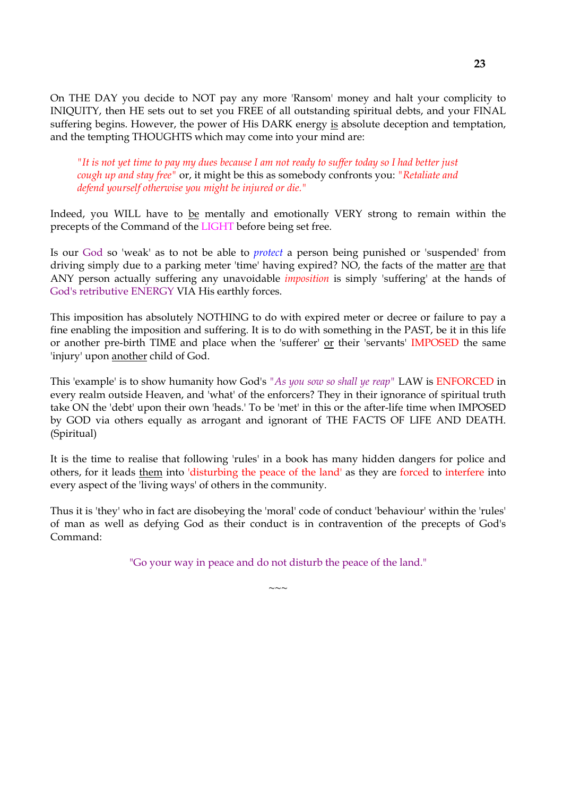On THE DAY you decide to NOT pay any more 'Ransom' money and halt your complicity to INIQUITY, then HE sets out to set you FREE of all outstanding spiritual debts, and your FINAL suffering begins. However, the power of His DARK energy is absolute deception and temptation, and the tempting THOUGHTS which may come into your mind are:

*"It is not yet time to pay my dues because I am not ready to suffer today so I had better just cough up and stay free"* or, it might be this as somebody confronts you: *"Retaliate and defend yourself otherwise you might be injured or die."*

Indeed, you WILL have to be mentally and emotionally VERY strong to remain within the precepts of the Command of the LIGHT before being set free.

Is our God so 'weak' as to not be able to *protect* a person being punished or 'suspended' from driving simply due to a parking meter 'time' having expired? NO, the facts of the matter are that ANY person actually suffering any unavoidable *imposition* is simply 'suffering' at the hands of God's retributive ENERGY VIA His earthly forces.

This imposition has absolutely NOTHING to do with expired meter or decree or failure to pay a fine enabling the imposition and suffering. It is to do with something in the PAST, be it in this life or another pre-birth TIME and place when the 'sufferer' or their 'servants' IMPOSED the same 'injury' upon another child of God.

This 'example' is to show humanity how God's *"As you sow so shall ye reap"* LAW is ENFORCED in every realm outside Heaven, and 'what' of the enforcers? They in their ignorance of spiritual truth take ON the 'debt' upon their own 'heads.' To be 'met' in this or the after-life time when IMPOSED by GOD via others equally as arrogant and ignorant of THE FACTS OF LIFE AND DEATH. (Spiritual)

It is the time to realise that following 'rules' in a book has many hidden dangers for police and others, for it leads them into 'disturbing the peace of the land' as they are forced to interfere into every aspect of the 'living ways' of others in the community.

Thus it is 'they' who in fact are disobeying the 'moral' code of conduct 'behaviour' within the 'rules' of man as well as defying God as their conduct is in contravention of the precepts of God's Command:

"Go your way in peace and do not disturb the peace of the land."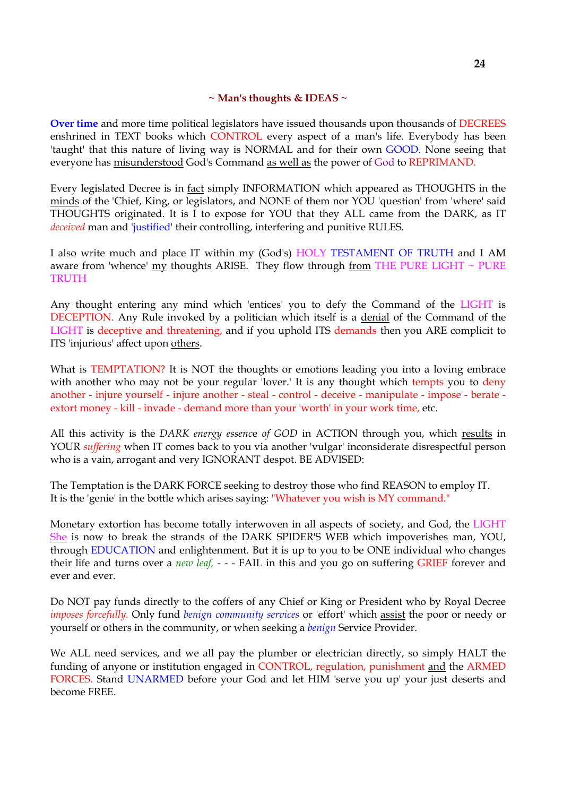## **~ Man's thoughts & IDEAS ~**

**Over time** and more time political legislators have issued thousands upon thousands of DECREES enshrined in TEXT books which CONTROL every aspect of a man's life. Everybody has been 'taught' that this nature of living way is NORMAL and for their own GOOD. None seeing that everyone has misunderstood God's Command as well as the power of God to REPRIMAND.

Every legislated Decree is in fact simply INFORMATION which appeared as THOUGHTS in the minds of the 'Chief, King, or legislators, and NONE of them nor YOU 'question' from 'where' said THOUGHTS originated. It is I to expose for YOU that they ALL came from the DARK, as IT *deceived* man and 'justified' their controlling, interfering and punitive RULES.

I also write much and place IT within my (God's) HOLY TESTAMENT OF TRUTH and I AM aware from 'whence' my thoughts ARISE. They flow through from THE PURE LIGHT  $\sim$  PURE **TRUTH** 

Any thought entering any mind which 'entices' you to defy the Command of the LIGHT is DECEPTION. Any Rule invoked by a politician which itself is a denial of the Command of the LIGHT is deceptive and threatening, and if you uphold ITS demands then you ARE complicit to ITS 'injurious' affect upon others.

What is TEMPTATION? It is NOT the thoughts or emotions leading you into a loving embrace with another who may not be your regular 'lover.' It is any thought which tempts you to deny another - injure yourself - injure another - steal - control - deceive - manipulate - impose - berate extort money - kill - invade - demand more than your 'worth' in your work time, etc.

All this activity is the *DARK energy essenc*e *of GOD* in ACTION through you, which results in YOUR *suffering* when IT comes back to you via another 'vulgar' inconsiderate disrespectful person who is a vain, arrogant and very IGNORANT despot. BE ADVISED:

The Temptation is the DARK FORCE seeking to destroy those who find REASON to employ IT. It is the 'genie' in the bottle which arises saying: "Whatever you wish is MY command."

Monetary extortion has become totally interwoven in all aspects of society, and God, the LIGHT She is now to break the strands of the DARK SPIDER'S WEB which impoverishes man, YOU, through EDUCATION and enlightenment. But it is up to you to be ONE individual who changes their life and turns over a *new leaf,* - - - FAIL in this and you go on suffering GRIEF forever and ever and ever.

Do NOT pay funds directly to the coffers of any Chief or King or President who by Royal Decree *imposes forcefully.* Only fund *benign community services* or 'effort' which assist the poor or needy or yourself or others in the community, or when seeking a *benign* Service Provider.

We ALL need services, and we all pay the plumber or electrician directly, so simply HALT the funding of anyone or institution engaged in CONTROL, regulation, punishment and the ARMED FORCES. Stand UNARMED before your God and let HIM 'serve you up' your just deserts and become FREE.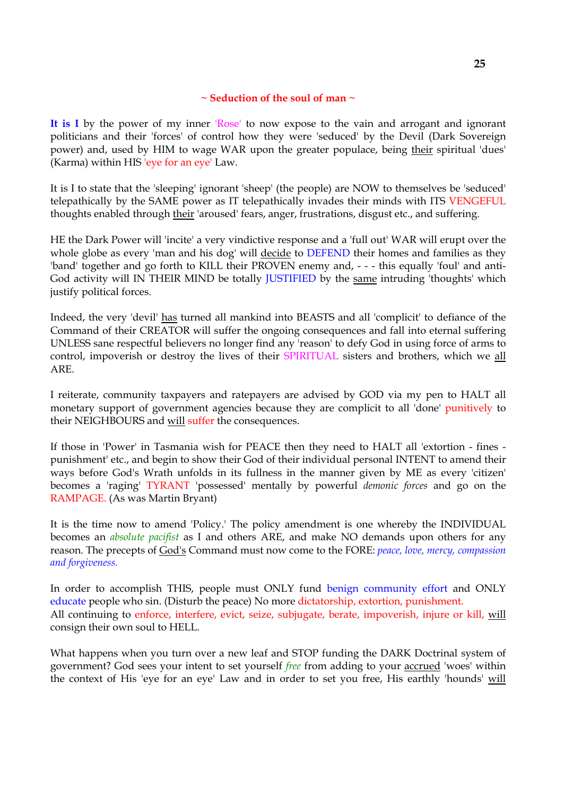## **~ Seduction of the soul of man ~**

**It is I** by the power of my inner 'Rose' to now expose to the vain and arrogant and ignorant politicians and their 'forces' of control how they were 'seduced' by the Devil (Dark Sovereign power) and, used by HIM to wage WAR upon the greater populace, being their spiritual 'dues' (Karma) within HIS 'eye for an eye' Law.

It is I to state that the 'sleeping' ignorant 'sheep' (the people) are NOW to themselves be 'seduced' telepathically by the SAME power as IT telepathically invades their minds with ITS VENGEFUL thoughts enabled through their 'aroused' fears, anger, frustrations, disgust etc., and suffering.

HE the Dark Power will 'incite' a very vindictive response and a 'full out' WAR will erupt over the whole globe as every 'man and his dog' will decide to DEFEND their homes and families as they 'band' together and go forth to KILL their PROVEN enemy and, - - - this equally 'foul' and anti-God activity will IN THEIR MIND be totally **JUSTIFIED** by the same intruding 'thoughts' which justify political forces.

Indeed, the very 'devil' has turned all mankind into BEASTS and all 'complicit' to defiance of the Command of their CREATOR will suffer the ongoing consequences and fall into eternal suffering UNLESS sane respectful believers no longer find any 'reason' to defy God in using force of arms to control, impoverish or destroy the lives of their SPIRITUAL sisters and brothers, which we all ARE.

I reiterate, community taxpayers and ratepayers are advised by GOD via my pen to HALT all monetary support of government agencies because they are complicit to all 'done' punitively to their NEIGHBOURS and will suffer the consequences.

If those in 'Power' in Tasmania wish for PEACE then they need to HALT all 'extortion - fines punishment' etc., and begin to show their God of their individual personal INTENT to amend their ways before God's Wrath unfolds in its fullness in the manner given by ME as every 'citizen' becomes a 'raging' TYRANT 'possessed' mentally by powerful *demonic forces* and go on the RAMPAGE. (As was Martin Bryant)

It is the time now to amend 'Policy.' The policy amendment is one whereby the INDIVIDUAL becomes an *absolute pacifist* as I and others ARE, and make NO demands upon others for any reason. The precepts of God's Command must now come to the FORE: *peace, love, mercy, compassion and forgiveness.*

In order to accomplish THIS, people must ONLY fund benign community effort and ONLY educate people who sin. (Disturb the peace) No more dictatorship, extortion, punishment. All continuing to enforce, interfere, evict, seize, subjugate, berate, impoverish, injure or kill, will consign their own soul to HELL.

What happens when you turn over a new leaf and STOP funding the DARK Doctrinal system of government? God sees your intent to set yourself *free* from adding to your accrued 'woes' within the context of His 'eye for an eye' Law and in order to set you free, His earthly 'hounds' will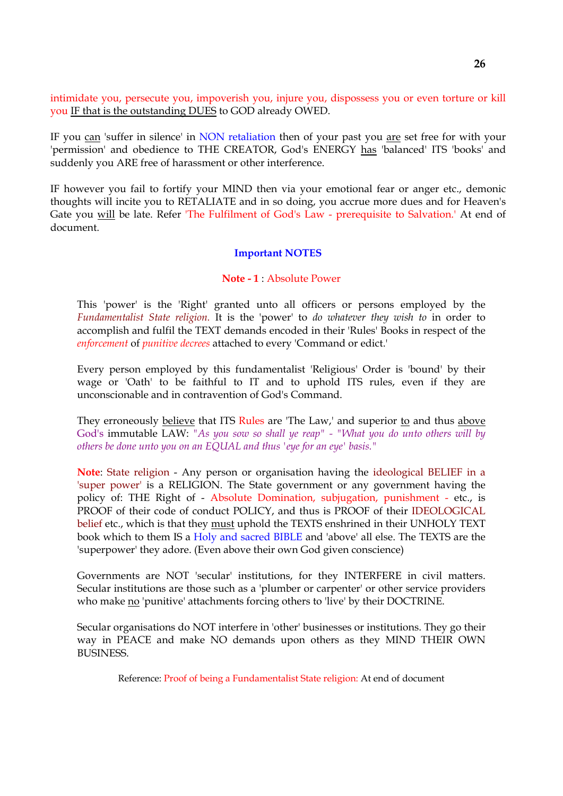intimidate you, persecute you, impoverish you, injure you, dispossess you or even torture or kill you IF that is the outstanding DUES to GOD already OWED.

IF you can 'suffer in silence' in NON retaliation then of your past you are set free for with your 'permission' and obedience to THE CREATOR, God's ENERGY has 'balanced' ITS 'books' and suddenly you ARE free of harassment or other interference.

IF however you fail to fortify your MIND then via your emotional fear or anger etc., demonic thoughts will incite you to RETALIATE and in so doing, you accrue more dues and for Heaven's Gate you will be late. Refer 'The Fulfilment of God's Law - prerequisite to Salvation.' At end of document.

### **Important NOTES**

#### **Note - 1** : Absolute Power

This 'power' is the 'Right' granted unto all officers or persons employed by the *Fundamentalist State religion.* It is the 'power' to *do whatever they wish to* in order to accomplish and fulfil the TEXT demands encoded in their 'Rules' Books in respect of the *enforcement* of *punitive decrees* attached to every 'Command or edict.'

Every person employed by this fundamentalist 'Religious' Order is 'bound' by their wage or 'Oath' to be faithful to IT and to uphold ITS rules, even if they are unconscionable and in contravention of God's Command.

They erroneously believe that ITS Rules are 'The Law,' and superior to and thus above God's immutable LAW: *"As you sow so shall ye reap" - "What you do unto others will by others be done unto you on an EQUAL and thus 'eye for an eye' basis."*

**Note**: State religion - Any person or organisation having the ideological BELIEF in a 'super power' is a RELIGION. The State government or any government having the policy of: THE Right of - Absolute Domination, subjugation, punishment - etc., is PROOF of their code of conduct POLICY, and thus is PROOF of their IDEOLOGICAL belief etc., which is that they must uphold the TEXTS enshrined in their UNHOLY TEXT book which to them IS a Holy and sacred BIBLE and 'above' all else. The TEXTS are the 'superpower' they adore. (Even above their own God given conscience)

Governments are NOT 'secular' institutions, for they INTERFERE in civil matters. Secular institutions are those such as a 'plumber or carpenter' or other service providers who make no 'punitive' attachments forcing others to 'live' by their DOCTRINE.

Secular organisations do NOT interfere in 'other' businesses or institutions. They go their way in PEACE and make NO demands upon others as they MIND THEIR OWN BUSINESS.

Reference: Proof of being a Fundamentalist State religion: At end of document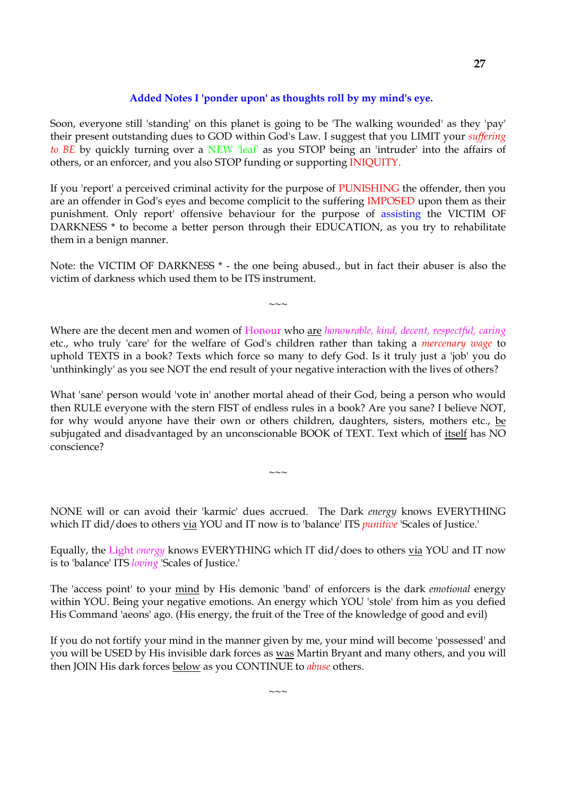## **Added Notes I 'ponder upon' as thoughts roll by my mind's eye.**

Soon, everyone still 'standing' on this planet is going to be 'The walking wounded' as they 'pay' their present outstanding dues to GOD within God's Law. I suggest that you LIMIT your *suffering to BE* by quickly turning over a NEW 'leaf' as you STOP being an 'intruder' into the affairs of others, or an enforcer, and you also STOP funding or supporting INIQUITY.

If you 'report' a perceived criminal activity for the purpose of PUNISHING the offender, then you are an offender in God's eyes and become complicit to the suffering IMPOSED upon them as their punishment. Only report' offensive behaviour for the purpose of assisting the VICTIM OF DARKNESS \* to become a better person through their EDUCATION, as you try to rehabilitate them in a benign manner.

Note: the VICTIM OF DARKNESS \* - the one being abused., but in fact their abuser is also the victim of darkness which used them to be ITS instrument.

 $\sim$   $\sim$   $\sim$ 

Where are the decent men and women of Honour who are *honourable, kind, decent, respectful, caring* etc., who truly 'care' for the welfare of God's children rather than taking a *mercenary wage* to uphold TEXTS in a book? Texts which force so many to defy God. Is it truly just a 'job' you do 'unthinkingly' as you see NOT the end result of your negative interaction with the lives of others?

What 'sane' person would 'vote in' another mortal ahead of their God, being a person who would then RULE everyone with the stern FIST of endless rules in a book? Are you sane? I believe NOT, for why would anyone have their own or others children, daughters, sisters, mothers etc., be subjugated and disadvantaged by an unconscionable BOOK of TEXT. Text which of itself has NO conscience?

NONE will or can avoid their 'karmic' dues accrued. The Dark *energy* knows EVERYTHING which IT did/does to others via YOU and IT now is to 'balance' ITS *punitive* 'Scales of Justice.'

 $\sim\sim\sim$ 

Equally, the Light *energy* knows EVERYTHING which IT did/does to others via YOU and IT now is to 'balance' ITS *loving* 'Scales of Justice.'

The 'access point' to your mind by His demonic 'band' of enforcers is the dark *emotional* energy within YOU. Being your negative emotions. An energy which YOU 'stole' from him as you defied His Command 'aeons' ago. (His energy, the fruit of the Tree of the knowledge of good and evil)

If you do not fortify your mind in the manner given by me, your mind will become 'possessed' and you will be USED by His invisible dark forces as was Martin Bryant and many others, and you will then JOIN His dark forces below as you CONTINUE to *abuse* others.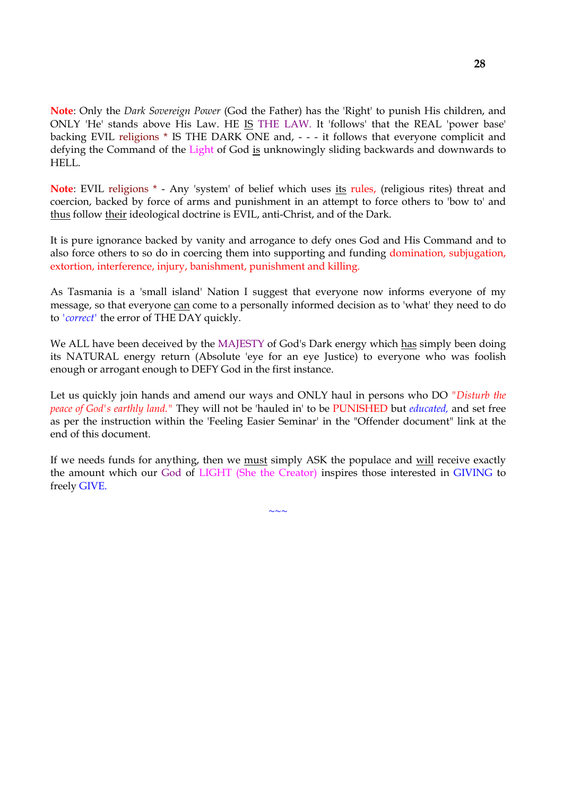**Note**: Only the *Dark Sovereign Power* (God the Father) has the 'Right' to punish His children, and ONLY 'He' stands above His Law. HE IS THE LAW. It 'follows' that the REAL 'power base' backing EVIL religions \* IS THE DARK ONE and, - - - it follows that everyone complicit and defying the Command of the Light of God is unknowingly sliding backwards and downwards to HELL.

**Note**: EVIL religions \* - Any 'system' of belief which uses its rules, (religious rites) threat and coercion, backed by force of arms and punishment in an attempt to force others to 'bow to' and thus follow their ideological doctrine is EVIL, anti-Christ, and of the Dark.

It is pure ignorance backed by vanity and arrogance to defy ones God and His Command and to also force others to so do in coercing them into supporting and funding domination, subjugation, extortion, interference, injury, banishment, punishment and killing.

As Tasmania is a 'small island' Nation I suggest that everyone now informs everyone of my message, so that everyone can come to a personally informed decision as to 'what' they need to do to *'correct'* the error of THE DAY quickly.

We ALL have been deceived by the MAJESTY of God's Dark energy which has simply been doing its NATURAL energy return (Absolute 'eye for an eye Justice) to everyone who was foolish enough or arrogant enough to DEFY God in the first instance.

Let us quickly join hands and amend our ways and ONLY haul in persons who DO *"Disturb the peace of God's earthly land."* They will not be 'hauled in' to be PUNISHED but *educated,* and set free as per the instruction within the 'Feeling Easier Seminar' in the "Offender document" link at the end of this document.

If we needs funds for anything, then we must simply ASK the populace and will receive exactly the amount which our God of LIGHT (She the Creator) inspires those interested in GIVING to freely GIVE.

 $\sim$  ~~

**28**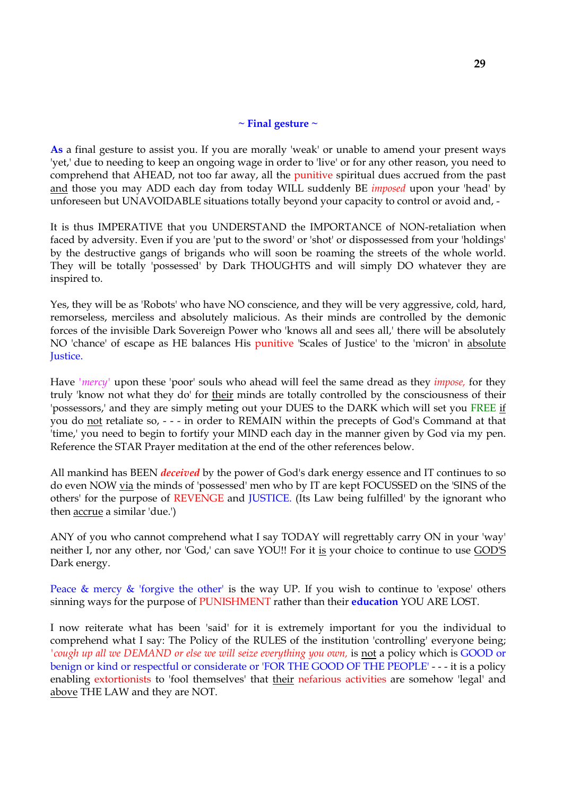### **~ Final gesture ~**

**As** a final gesture to assist you. If you are morally 'weak' or unable to amend your present ways 'yet,' due to needing to keep an ongoing wage in order to 'live' or for any other reason, you need to comprehend that AHEAD, not too far away, all the punitive spiritual dues accrued from the past and those you may ADD each day from today WILL suddenly BE *imposed* upon your 'head' by unforeseen but UNAVOIDABLE situations totally beyond your capacity to control or avoid and, -

It is thus IMPERATIVE that you UNDERSTAND the IMPORTANCE of NON-retaliation when faced by adversity. Even if you are 'put to the sword' or 'shot' or dispossessed from your 'holdings' by the destructive gangs of brigands who will soon be roaming the streets of the whole world. They will be totally 'possessed' by Dark THOUGHTS and will simply DO whatever they are inspired to.

Yes, they will be as 'Robots' who have NO conscience, and they will be very aggressive, cold, hard, remorseless, merciless and absolutely malicious. As their minds are controlled by the demonic forces of the invisible Dark Sovereign Power who 'knows all and sees all,' there will be absolutely NO 'chance' of escape as HE balances His punitive 'Scales of Justice' to the 'micron' in absolute Justice.

Have *'mercy'* upon these 'poor' souls who ahead will feel the same dread as they *impose,* for they truly 'know not what they do' for their minds are totally controlled by the consciousness of their 'possessors,' and they are simply meting out your DUES to the DARK which will set you FREE if you do not retaliate so, - - - in order to REMAIN within the precepts of God's Command at that 'time,' you need to begin to fortify your MIND each day in the manner given by God via my pen. Reference the STAR Prayer meditation at the end of the other references below.

All mankind has BEEN *deceived* by the power of God's dark energy essence and IT continues to so do even NOW via the minds of 'possessed' men who by IT are kept FOCUSSED on the 'SINS of the others' for the purpose of REVENGE and JUSTICE. (Its Law being fulfilled' by the ignorant who then accrue a similar 'due.')

ANY of you who cannot comprehend what I say TODAY will regrettably carry ON in your 'way' neither I, nor any other, nor 'God,' can save YOU!! For it is your choice to continue to use GOD'S Dark energy.

Peace  $\&$  mercy  $\&$  'forgive the other' is the way UP. If you wish to continue to 'expose' others sinning ways for the purpose of PUNISHMENT rather than their **education** YOU ARE LOST.

I now reiterate what has been 'said' for it is extremely important for you the individual to comprehend what I say: The Policy of the RULES of the institution 'controlling' everyone being; *'cough up all we DEMAND or else we will seize everything you own,* is not a policy which is GOOD or benign or kind or respectful or considerate or 'FOR THE GOOD OF THE PEOPLE' - - - it is a policy enabling extortionists to 'fool themselves' that their nefarious activities are somehow 'legal' and above THE LAW and they are NOT.